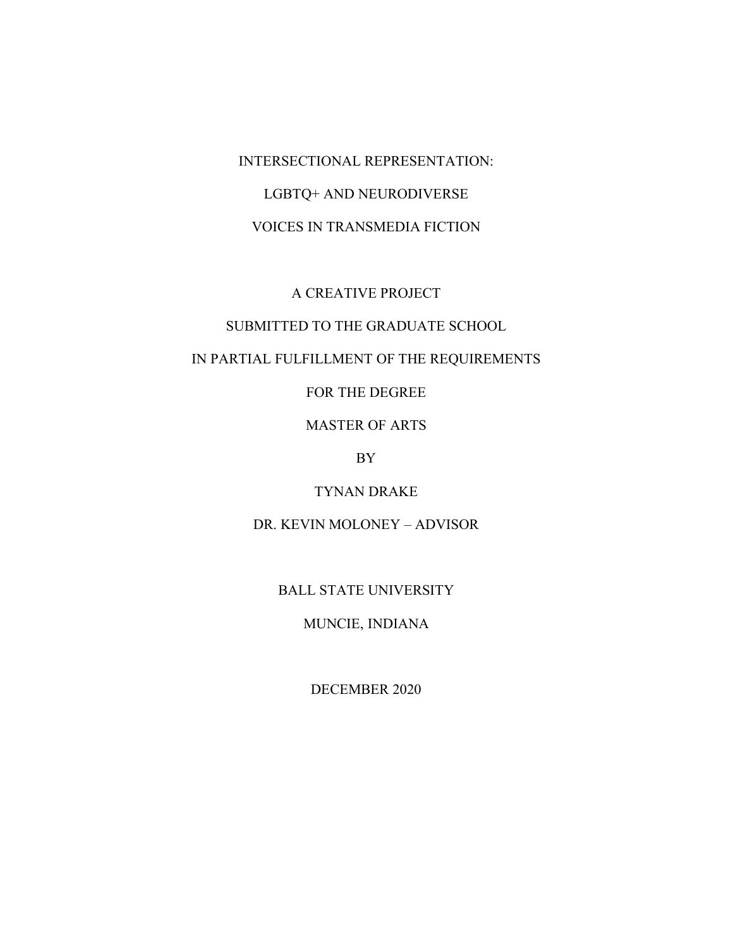INTERSECTIONAL REPRESENTATION: LGBTQ+ AND NEURODIVERSE VOICES IN TRANSMEDIA FICTION

# A CREATIVE PROJECT

# SUBMITTED TO THE GRADUATE SCHOOL

# IN PARTIAL FULFILLMENT OF THE REQUIREMENTS

FOR THE DEGREE

MASTER OF ARTS

BY

TYNAN DRAKE

DR. KEVIN MOLONEY – ADVISOR

BALL STATE UNIVERSITY

MUNCIE, INDIANA

DECEMBER 2020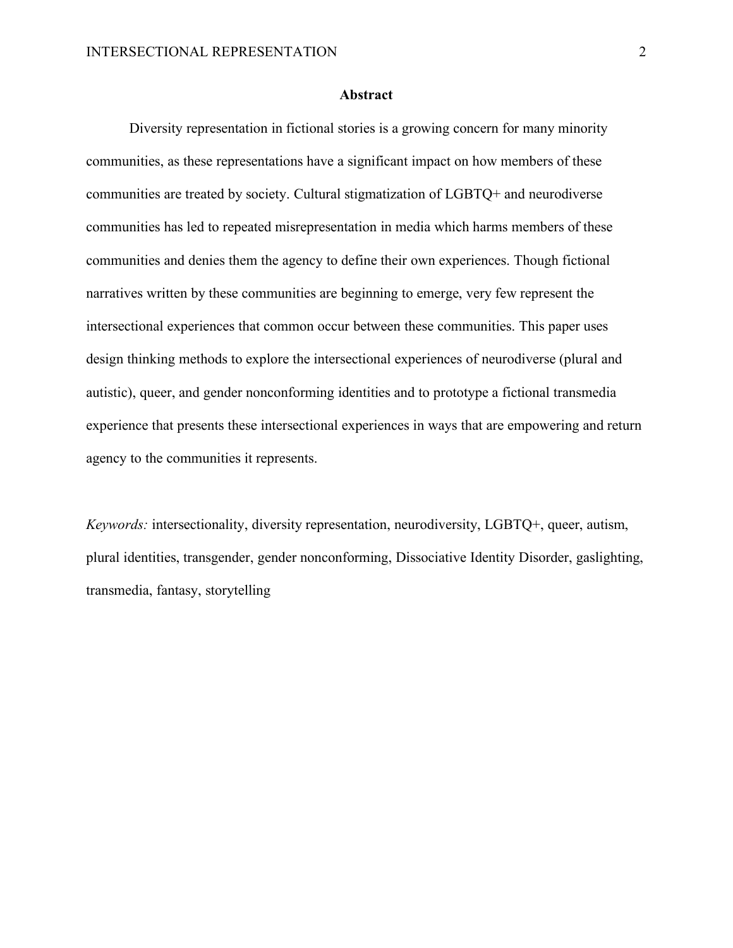#### **Abstract**

Diversity representation in fictional stories is a growing concern for many minority communities, as these representations have a significant impact on how members of these communities are treated by society. Cultural stigmatization of LGBTQ+ and neurodiverse communities has led to repeated misrepresentation in media which harms members of these communities and denies them the agency to define their own experiences. Though fictional narratives written by these communities are beginning to emerge, very few represent the intersectional experiences that common occur between these communities. This paper uses design thinking methods to explore the intersectional experiences of neurodiverse (plural and autistic), queer, and gender nonconforming identities and to prototype a fictional transmedia experience that presents these intersectional experiences in ways that are empowering and return agency to the communities it represents.

*Keywords:* intersectionality, diversity representation, neurodiversity, LGBTQ+, queer, autism, plural identities, transgender, gender nonconforming, Dissociative Identity Disorder, gaslighting, transmedia, fantasy, storytelling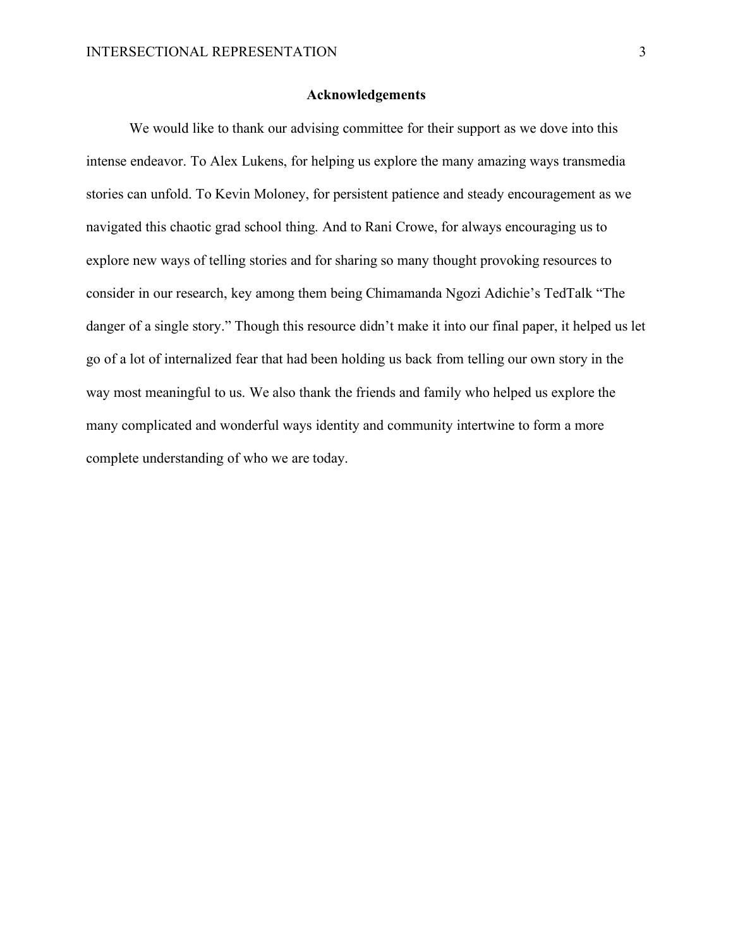#### **Acknowledgements**

We would like to thank our advising committee for their support as we dove into this intense endeavor. To Alex Lukens, for helping us explore the many amazing ways transmedia stories can unfold. To Kevin Moloney, for persistent patience and steady encouragement as we navigated this chaotic grad school thing. And to Rani Crowe, for always encouraging us to explore new ways of telling stories and for sharing so many thought provoking resources to consider in our research, key among them being Chimamanda Ngozi Adichie's TedTalk "The danger of a single story." Though this resource didn't make it into our final paper, it helped us let go of a lot of internalized fear that had been holding us back from telling our own story in the way most meaningful to us. We also thank the friends and family who helped us explore the many complicated and wonderful ways identity and community intertwine to form a more complete understanding of who we are today.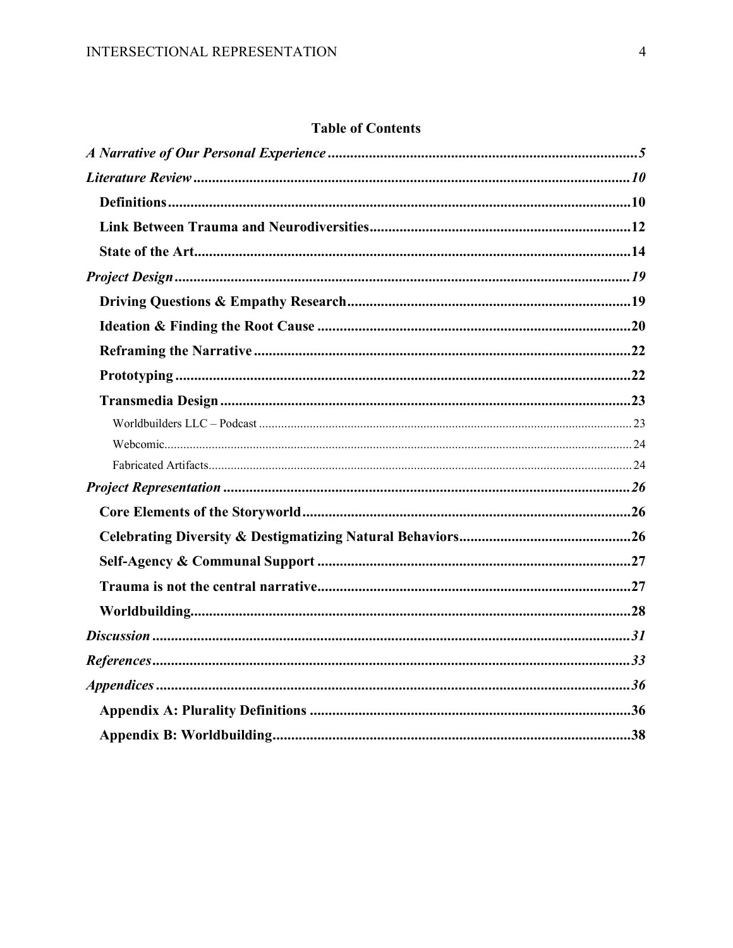# **Table of Contents**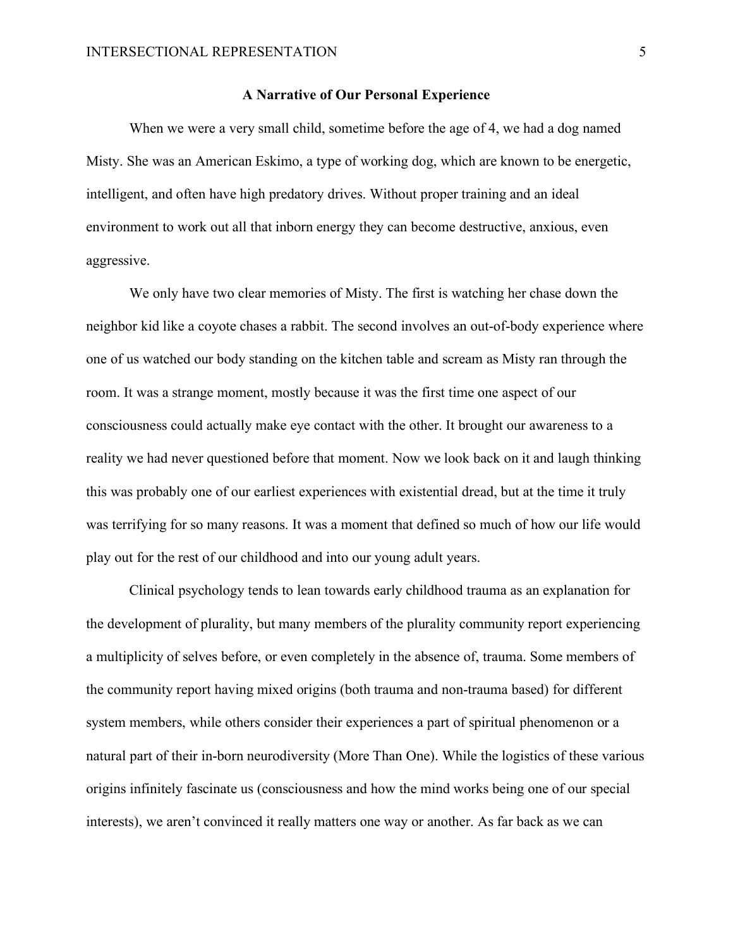#### **A Narrative of Our Personal Experience**

<span id="page-4-0"></span>When we were a very small child, sometime before the age of 4, we had a dog named Misty. She was an American Eskimo, a type of working dog, which are known to be energetic, intelligent, and often have high predatory drives. Without proper training and an ideal environment to work out all that inborn energy they can become destructive, anxious, even aggressive.

We only have two clear memories of Misty. The first is watching her chase down the neighbor kid like a coyote chases a rabbit. The second involves an out-of-body experience where one of us watched our body standing on the kitchen table and scream as Misty ran through the room. It was a strange moment, mostly because it was the first time one aspect of our consciousness could actually make eye contact with the other. It brought our awareness to a reality we had never questioned before that moment. Now we look back on it and laugh thinking this was probably one of our earliest experiences with existential dread, but at the time it truly was terrifying for so many reasons. It was a moment that defined so much of how our life would play out for the rest of our childhood and into our young adult years.

Clinical psychology tends to lean towards early childhood trauma as an explanation for the development of plurality, but many members of the plurality community report experiencing a multiplicity of selves before, or even completely in the absence of, trauma. Some members of the community report having mixed origins (both trauma and non-trauma based) for different system members, while others consider their experiences a part of spiritual phenomenon or a natural part of their in-born neurodiversity (More Than One). While the logistics of these various origins infinitely fascinate us (consciousness and how the mind works being one of our special interests), we aren't convinced it really matters one way or another. As far back as we can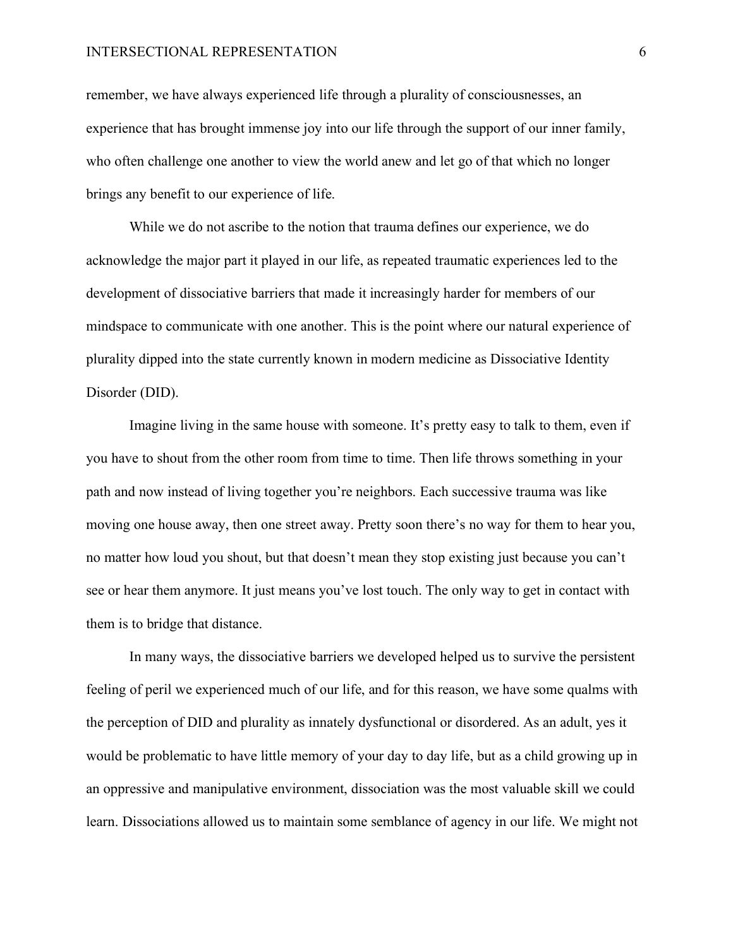remember, we have always experienced life through a plurality of consciousnesses, an experience that has brought immense joy into our life through the support of our inner family, who often challenge one another to view the world anew and let go of that which no longer brings any benefit to our experience of life.

While we do not ascribe to the notion that trauma defines our experience, we do acknowledge the major part it played in our life, as repeated traumatic experiences led to the development of dissociative barriers that made it increasingly harder for members of our mindspace to communicate with one another. This is the point where our natural experience of plurality dipped into the state currently known in modern medicine as Dissociative Identity Disorder (DID).

Imagine living in the same house with someone. It's pretty easy to talk to them, even if you have to shout from the other room from time to time. Then life throws something in your path and now instead of living together you're neighbors. Each successive trauma was like moving one house away, then one street away. Pretty soon there's no way for them to hear you, no matter how loud you shout, but that doesn't mean they stop existing just because you can't see or hear them anymore. It just means you've lost touch. The only way to get in contact with them is to bridge that distance.

In many ways, the dissociative barriers we developed helped us to survive the persistent feeling of peril we experienced much of our life, and for this reason, we have some qualms with the perception of DID and plurality as innately dysfunctional or disordered. As an adult, yes it would be problematic to have little memory of your day to day life, but as a child growing up in an oppressive and manipulative environment, dissociation was the most valuable skill we could learn. Dissociations allowed us to maintain some semblance of agency in our life. We might not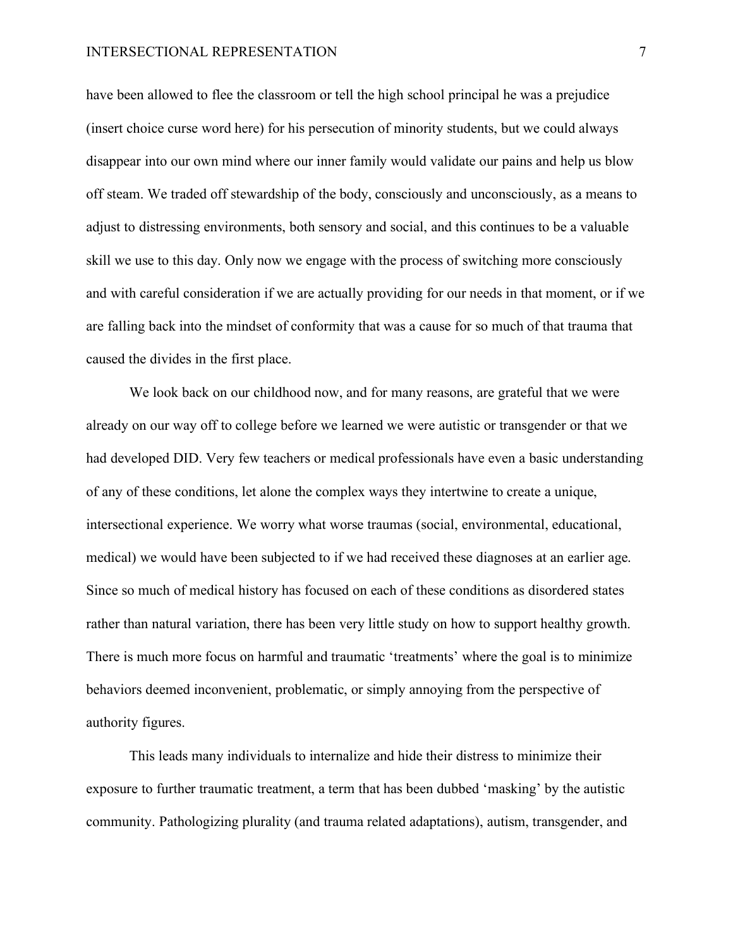have been allowed to flee the classroom or tell the high school principal he was a prejudice (insert choice curse word here) for his persecution of minority students, but we could always disappear into our own mind where our inner family would validate our pains and help us blow off steam. We traded off stewardship of the body, consciously and unconsciously, as a means to adjust to distressing environments, both sensory and social, and this continues to be a valuable skill we use to this day. Only now we engage with the process of switching more consciously and with careful consideration if we are actually providing for our needs in that moment, or if we are falling back into the mindset of conformity that was a cause for so much of that trauma that caused the divides in the first place.

We look back on our childhood now, and for many reasons, are grateful that we were already on our way off to college before we learned we were autistic or transgender or that we had developed DID. Very few teachers or medical professionals have even a basic understanding of any of these conditions, let alone the complex ways they intertwine to create a unique, intersectional experience. We worry what worse traumas (social, environmental, educational, medical) we would have been subjected to if we had received these diagnoses at an earlier age. Since so much of medical history has focused on each of these conditions as disordered states rather than natural variation, there has been very little study on how to support healthy growth. There is much more focus on harmful and traumatic 'treatments' where the goal is to minimize behaviors deemed inconvenient, problematic, or simply annoying from the perspective of authority figures.

This leads many individuals to internalize and hide their distress to minimize their exposure to further traumatic treatment, a term that has been dubbed 'masking' by the autistic community. Pathologizing plurality (and trauma related adaptations), autism, transgender, and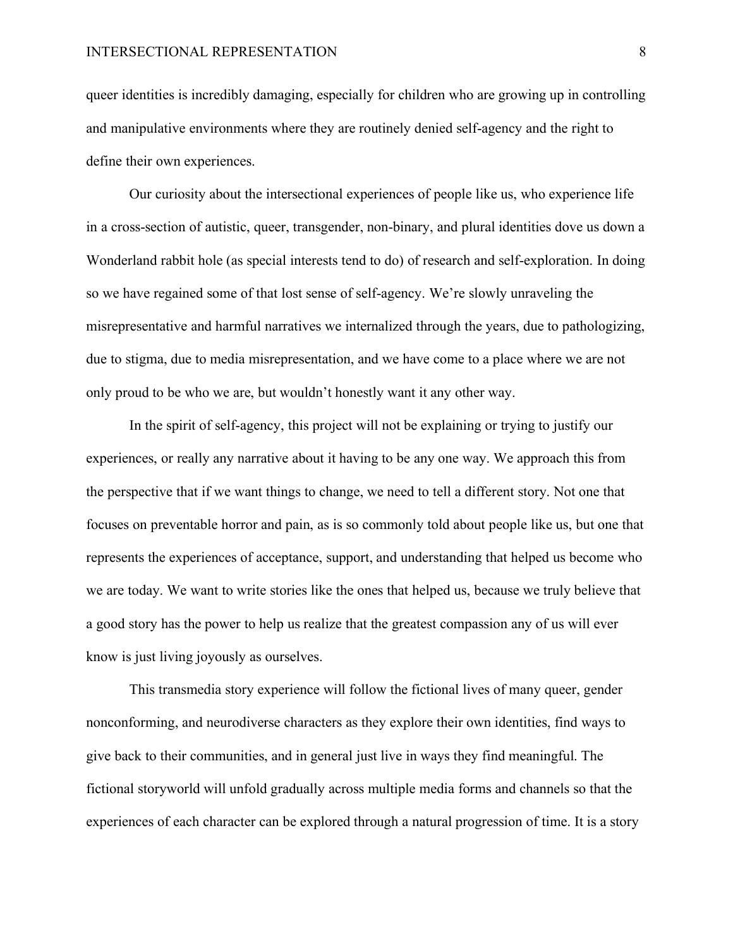queer identities is incredibly damaging, especially for children who are growing up in controlling and manipulative environments where they are routinely denied self-agency and the right to define their own experiences.

Our curiosity about the intersectional experiences of people like us, who experience life in a cross-section of autistic, queer, transgender, non-binary, and plural identities dove us down a Wonderland rabbit hole (as special interests tend to do) of research and self-exploration. In doing so we have regained some of that lost sense of self-agency. We're slowly unraveling the misrepresentative and harmful narratives we internalized through the years, due to pathologizing, due to stigma, due to media misrepresentation, and we have come to a place where we are not only proud to be who we are, but wouldn't honestly want it any other way.

In the spirit of self-agency, this project will not be explaining or trying to justify our experiences, or really any narrative about it having to be any one way. We approach this from the perspective that if we want things to change, we need to tell a different story. Not one that focuses on preventable horror and pain, as is so commonly told about people like us, but one that represents the experiences of acceptance, support, and understanding that helped us become who we are today. We want to write stories like the ones that helped us, because we truly believe that a good story has the power to help us realize that the greatest compassion any of us will ever know is just living joyously as ourselves.

This transmedia story experience will follow the fictional lives of many queer, gender nonconforming, and neurodiverse characters as they explore their own identities, find ways to give back to their communities, and in general just live in ways they find meaningful. The fictional storyworld will unfold gradually across multiple media forms and channels so that the experiences of each character can be explored through a natural progression of time. It is a story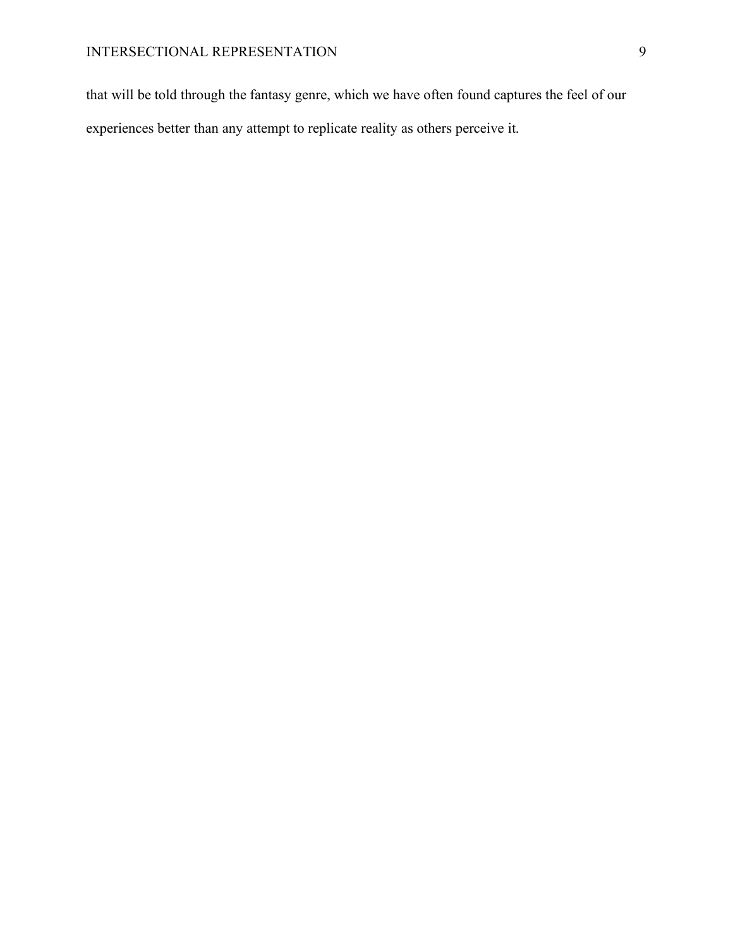that will be told through the fantasy genre, which we have often found captures the feel of our experiences better than any attempt to replicate reality as others perceive it.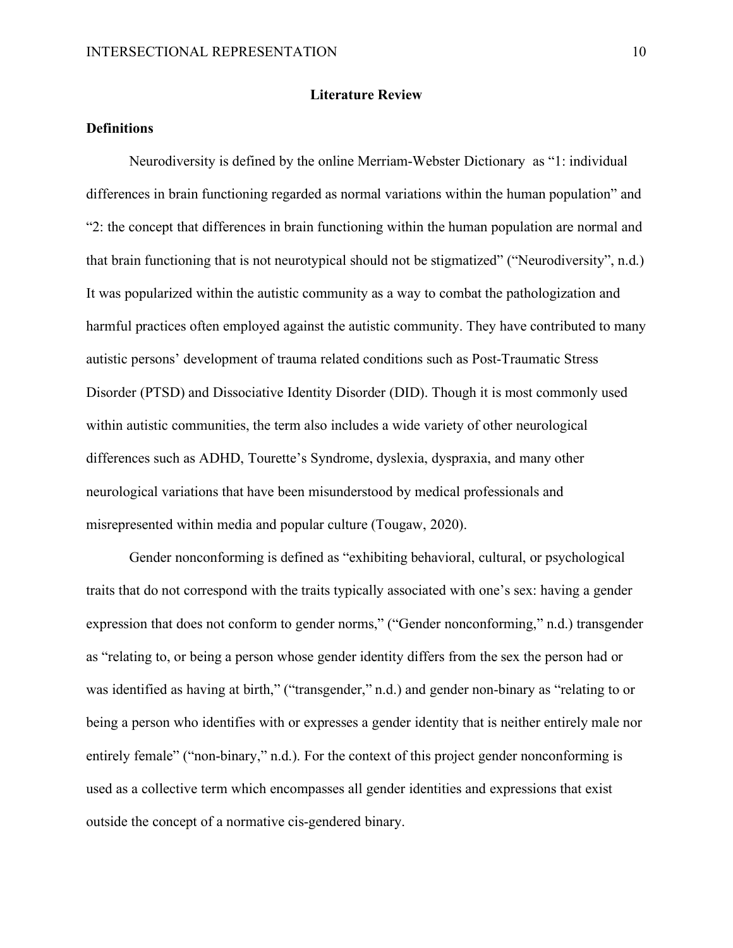#### **Literature Review**

# <span id="page-9-1"></span><span id="page-9-0"></span>**Definitions**

Neurodiversity is defined by the online Merriam-Webster Dictionary as "1: individual differences in brain functioning regarded as normal variations within the human population" and "2: the concept that differences in brain functioning within the human population are normal and that brain functioning that is not neurotypical should not be stigmatized" ("Neurodiversity", n.d.) It was popularized within the autistic community as a way to combat the pathologization and harmful practices often employed against the autistic community. They have contributed to many autistic persons' development of trauma related conditions such as Post-Traumatic Stress Disorder (PTSD) and Dissociative Identity Disorder (DID). Though it is most commonly used within autistic communities, the term also includes a wide variety of other neurological differences such as ADHD, Tourette's Syndrome, dyslexia, dyspraxia, and many other neurological variations that have been misunderstood by medical professionals and misrepresented within media and popular culture (Tougaw, 2020).

Gender nonconforming is defined as "exhibiting behavioral, cultural, or psychological traits that do not correspond with the traits typically associated with one's sex: having a gender expression that does not conform to gender norms," ("Gender nonconforming," n.d.) transgender as "relating to, or being a person whose gender identity differs from the sex the person had or was identified as having at birth," ("transgender," n.d.) and gender non-binary as "relating to or being a person who identifies with or expresses a gender identity that is neither entirely male nor entirely female" ("non-binary," n.d.). For the context of this project gender nonconforming is used as a collective term which encompasses all gender identities and expressions that exist outside the concept of a normative cis-gendered binary.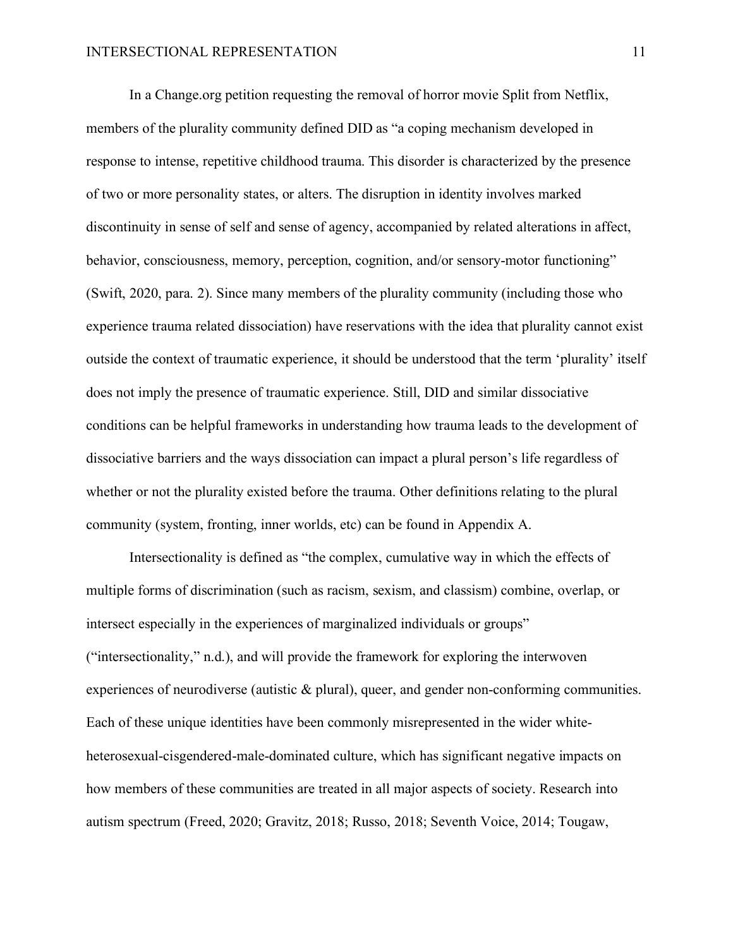In a Change.org petition requesting the removal of horror movie Split from Netflix, members of the plurality community defined DID as "a coping mechanism developed in response to intense, repetitive childhood trauma. This disorder is characterized by the presence of two or more personality states, or alters. The disruption in identity involves marked discontinuity in sense of self and sense of agency, accompanied by related alterations in affect, behavior, consciousness, memory, perception, cognition, and/or sensory-motor functioning" (Swift, 2020, para. 2). Since many members of the plurality community (including those who experience trauma related dissociation) have reservations with the idea that plurality cannot exist outside the context of traumatic experience, it should be understood that the term 'plurality' itself does not imply the presence of traumatic experience. Still, DID and similar dissociative conditions can be helpful frameworks in understanding how trauma leads to the development of dissociative barriers and the ways dissociation can impact a plural person's life regardless of whether or not the plurality existed before the trauma. Other definitions relating to the plural community (system, fronting, inner worlds, etc) can be found in Appendix A.

Intersectionality is defined as "the complex, cumulative way in which the effects of multiple forms of discrimination (such as racism, sexism, and classism) combine, overlap, or intersect especially in the experiences of marginalized individuals or groups" ("intersectionality," n.d.), and will provide the framework for exploring the interwoven experiences of neurodiverse (autistic & plural), queer, and gender non-conforming communities. Each of these unique identities have been commonly misrepresented in the wider whiteheterosexual-cisgendered-male-dominated culture, which has significant negative impacts on how members of these communities are treated in all major aspects of society. Research into autism spectrum (Freed, 2020; Gravitz, 2018; Russo, 2018; Seventh Voice, 2014; Tougaw,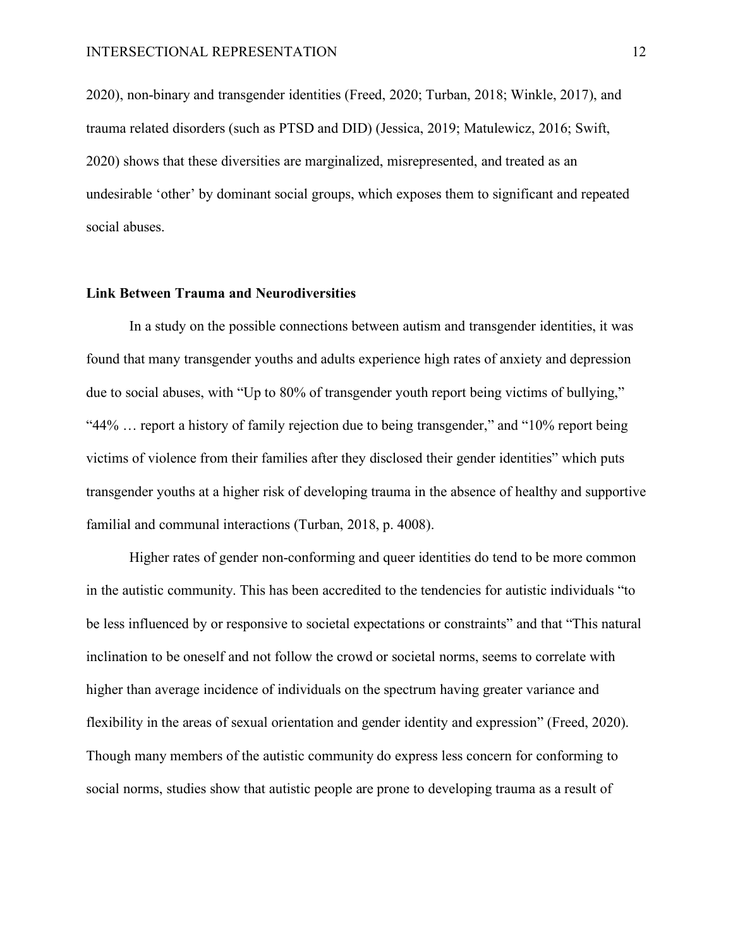2020), non-binary and transgender identities (Freed, 2020; Turban, 2018; Winkle, 2017), and trauma related disorders (such as PTSD and DID) (Jessica, 2019; Matulewicz, 2016; Swift, 2020) shows that these diversities are marginalized, misrepresented, and treated as an undesirable 'other' by dominant social groups, which exposes them to significant and repeated social abuses.

#### <span id="page-11-0"></span>**Link Between Trauma and Neurodiversities**

In a study on the possible connections between autism and transgender identities, it was found that many transgender youths and adults experience high rates of anxiety and depression due to social abuses, with "Up to 80% of transgender youth report being victims of bullying," "44% … report a history of family rejection due to being transgender," and "10% report being victims of violence from their families after they disclosed their gender identities" which puts transgender youths at a higher risk of developing trauma in the absence of healthy and supportive familial and communal interactions (Turban, 2018, p. 4008).

Higher rates of gender non-conforming and queer identities do tend to be more common in the autistic community. This has been accredited to the tendencies for autistic individuals "to be less influenced by or responsive to societal expectations or constraints" and that "This natural inclination to be oneself and not follow the crowd or societal norms, seems to correlate with higher than average incidence of individuals on the spectrum having greater variance and flexibility in the areas of sexual orientation and gender identity and expression" (Freed, 2020). Though many members of the autistic community do express less concern for conforming to social norms, studies show that autistic people are prone to developing trauma as a result of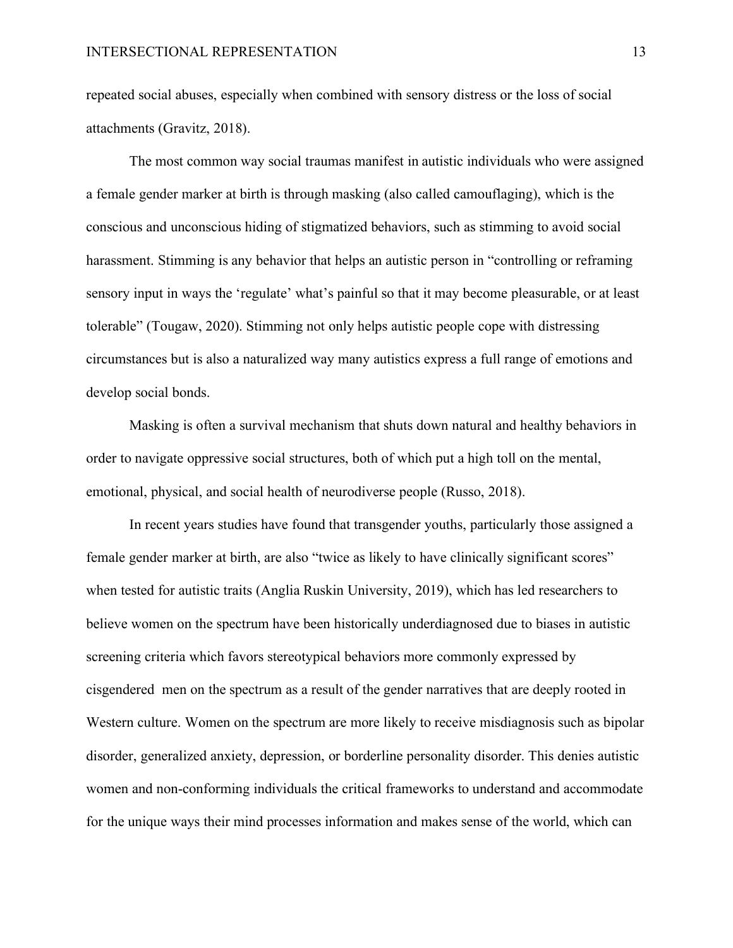repeated social abuses, especially when combined with sensory distress or the loss of social attachments (Gravitz, 2018).

The most common way social traumas manifest in autistic individuals who were assigned a female gender marker at birth is through masking (also called camouflaging), which is the conscious and unconscious hiding of stigmatized behaviors, such as stimming to avoid social harassment. Stimming is any behavior that helps an autistic person in "controlling or reframing sensory input in ways the 'regulate' what's painful so that it may become pleasurable, or at least tolerable" (Tougaw, 2020). Stimming not only helps autistic people cope with distressing circumstances but is also a naturalized way many autistics express a full range of emotions and develop social bonds.

Masking is often a survival mechanism that shuts down natural and healthy behaviors in order to navigate oppressive social structures, both of which put a high toll on the mental, emotional, physical, and social health of neurodiverse people (Russo, 2018).

In recent years studies have found that transgender youths, particularly those assigned a female gender marker at birth, are also "twice as likely to have clinically significant scores" when tested for autistic traits (Anglia Ruskin University, 2019), which has led researchers to believe women on the spectrum have been historically underdiagnosed due to biases in autistic screening criteria which favors stereotypical behaviors more commonly expressed by cisgendered men on the spectrum as a result of the gender narratives that are deeply rooted in Western culture. Women on the spectrum are more likely to receive misdiagnosis such as bipolar disorder, generalized anxiety, depression, or borderline personality disorder. This denies autistic women and non-conforming individuals the critical frameworks to understand and accommodate for the unique ways their mind processes information and makes sense of the world, which can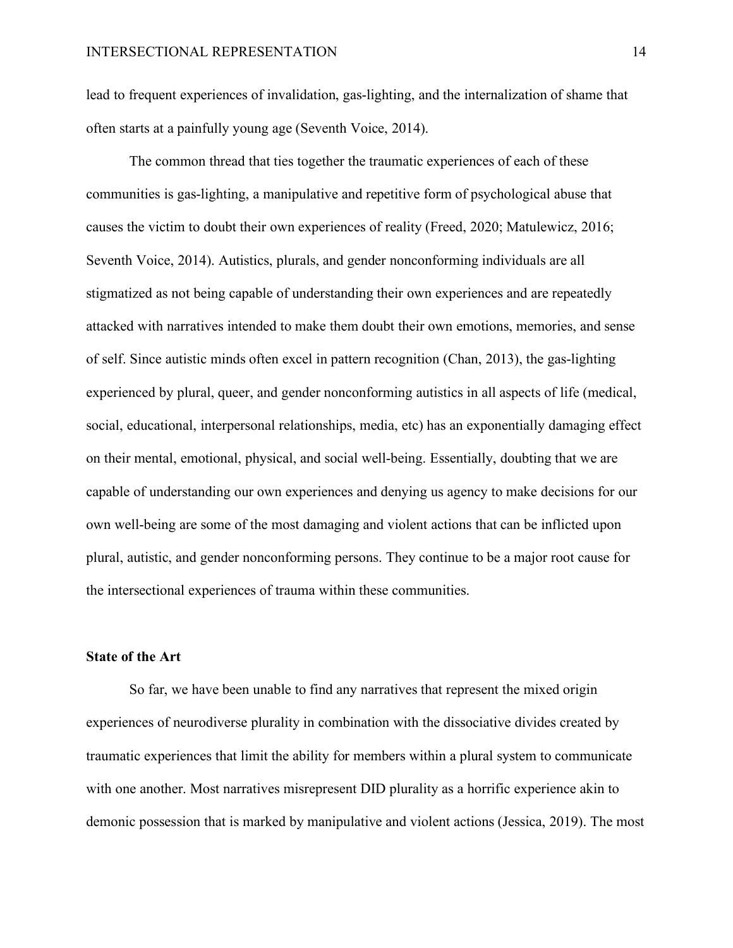lead to frequent experiences of invalidation, gas-lighting, and the internalization of shame that often starts at a painfully young age (Seventh Voice, 2014).

The common thread that ties together the traumatic experiences of each of these communities is gas-lighting, a manipulative and repetitive form of psychological abuse that causes the victim to doubt their own experiences of reality (Freed, 2020; Matulewicz, 2016; Seventh Voice, 2014). Autistics, plurals, and gender nonconforming individuals are all stigmatized as not being capable of understanding their own experiences and are repeatedly attacked with narratives intended to make them doubt their own emotions, memories, and sense of self. Since autistic minds often excel in pattern recognition (Chan, 2013), the gas-lighting experienced by plural, queer, and gender nonconforming autistics in all aspects of life (medical, social, educational, interpersonal relationships, media, etc) has an exponentially damaging effect on their mental, emotional, physical, and social well-being. Essentially, doubting that we are capable of understanding our own experiences and denying us agency to make decisions for our own well-being are some of the most damaging and violent actions that can be inflicted upon plural, autistic, and gender nonconforming persons. They continue to be a major root cause for the intersectional experiences of trauma within these communities.

## <span id="page-13-0"></span>**State of the Art**

So far, we have been unable to find any narratives that represent the mixed origin experiences of neurodiverse plurality in combination with the dissociative divides created by traumatic experiences that limit the ability for members within a plural system to communicate with one another. Most narratives misrepresent DID plurality as a horrific experience akin to demonic possession that is marked by manipulative and violent actions (Jessica, 2019). The most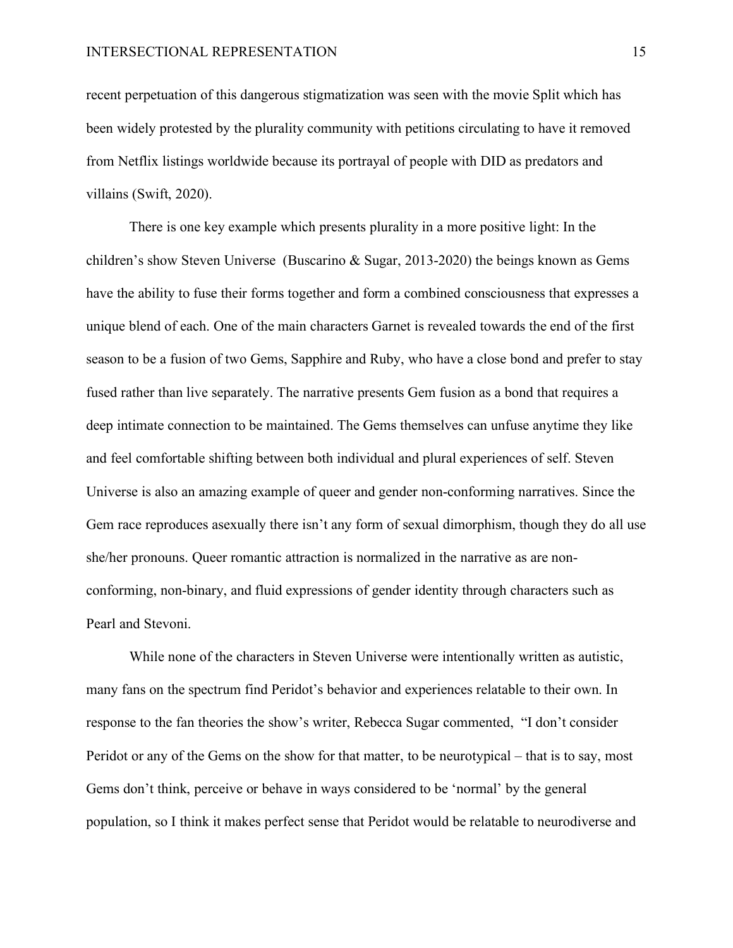recent perpetuation of this dangerous stigmatization was seen with the movie Split which has been widely protested by the plurality community with petitions circulating to have it removed from Netflix listings worldwide because its portrayal of people with DID as predators and villains (Swift, 2020).

There is one key example which presents plurality in a more positive light: In the children's show Steven Universe (Buscarino & Sugar, 2013-2020) the beings known as Gems have the ability to fuse their forms together and form a combined consciousness that expresses a unique blend of each. One of the main characters Garnet is revealed towards the end of the first season to be a fusion of two Gems, Sapphire and Ruby, who have a close bond and prefer to stay fused rather than live separately. The narrative presents Gem fusion as a bond that requires a deep intimate connection to be maintained. The Gems themselves can unfuse anytime they like and feel comfortable shifting between both individual and plural experiences of self. Steven Universe is also an amazing example of queer and gender non-conforming narratives. Since the Gem race reproduces asexually there isn't any form of sexual dimorphism, though they do all use she/her pronouns. Queer romantic attraction is normalized in the narrative as are nonconforming, non-binary, and fluid expressions of gender identity through characters such as Pearl and Stevoni.

While none of the characters in Steven Universe were intentionally written as autistic, many fans on the spectrum find Peridot's behavior and experiences relatable to their own. In response to the fan theories the show's writer, Rebecca Sugar commented, "I don't consider Peridot or any of the Gems on the show for that matter, to be neurotypical – that is to say, most Gems don't think, perceive or behave in ways considered to be 'normal' by the general population, so I think it makes perfect sense that Peridot would be relatable to neurodiverse and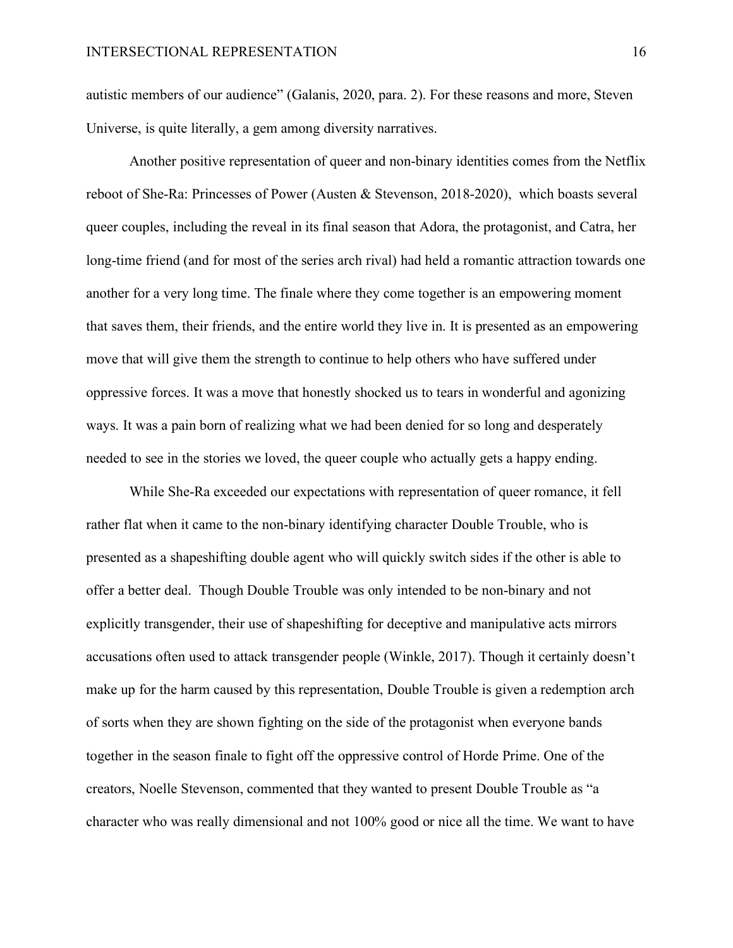autistic members of our audience" (Galanis, 2020, para. 2). For these reasons and more, Steven Universe, is quite literally, a gem among diversity narratives.

Another positive representation of queer and non-binary identities comes from the Netflix reboot of She-Ra: Princesses of Power (Austen & Stevenson, 2018-2020), which boasts several queer couples, including the reveal in its final season that Adora, the protagonist, and Catra, her long-time friend (and for most of the series arch rival) had held a romantic attraction towards one another for a very long time. The finale where they come together is an empowering moment that saves them, their friends, and the entire world they live in. It is presented as an empowering move that will give them the strength to continue to help others who have suffered under oppressive forces. It was a move that honestly shocked us to tears in wonderful and agonizing ways. It was a pain born of realizing what we had been denied for so long and desperately needed to see in the stories we loved, the queer couple who actually gets a happy ending.

While She-Ra exceeded our expectations with representation of queer romance, it fell rather flat when it came to the non-binary identifying character Double Trouble, who is presented as a shapeshifting double agent who will quickly switch sides if the other is able to offer a better deal. Though Double Trouble was only intended to be non-binary and not explicitly transgender, their use of shapeshifting for deceptive and manipulative acts mirrors accusations often used to attack transgender people (Winkle, 2017). Though it certainly doesn't make up for the harm caused by this representation, Double Trouble is given a redemption arch of sorts when they are shown fighting on the side of the protagonist when everyone bands together in the season finale to fight off the oppressive control of Horde Prime. One of the creators, Noelle Stevenson, commented that they wanted to present Double Trouble as "a character who was really dimensional and not 100% good or nice all the time. We want to have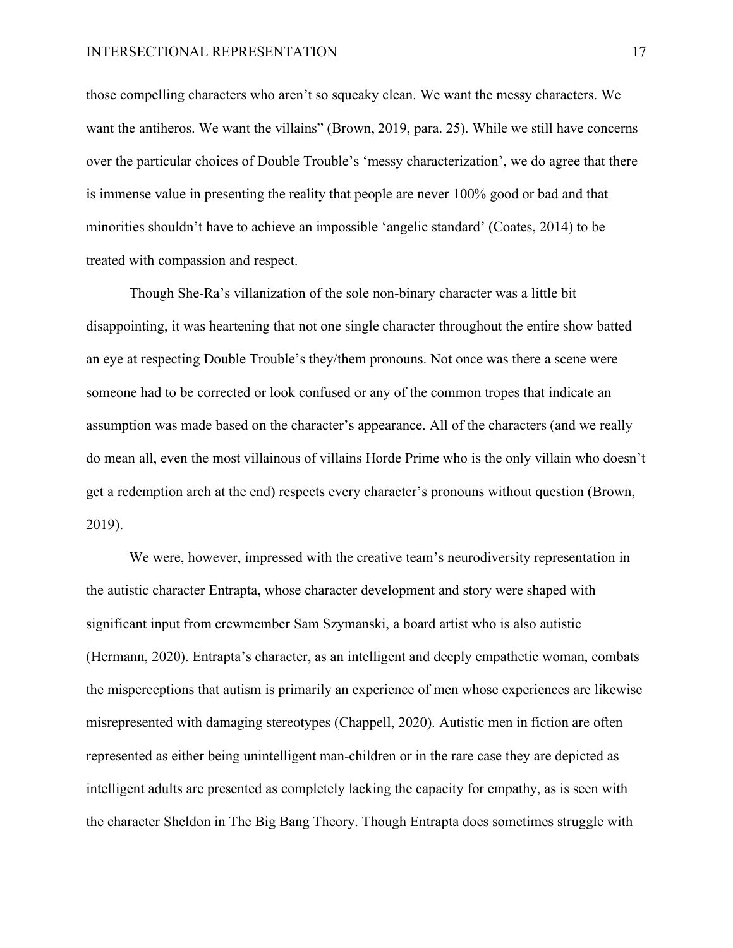those compelling characters who aren't so squeaky clean. We want the messy characters. We want the antiheros. We want the villains" (Brown, 2019, para. 25). While we still have concerns over the particular choices of Double Trouble's 'messy characterization', we do agree that there is immense value in presenting the reality that people are never 100% good or bad and that minorities shouldn't have to achieve an impossible 'angelic standard' (Coates, 2014) to be treated with compassion and respect.

Though She-Ra's villanization of the sole non-binary character was a little bit disappointing, it was heartening that not one single character throughout the entire show batted an eye at respecting Double Trouble's they/them pronouns. Not once was there a scene were someone had to be corrected or look confused or any of the common tropes that indicate an assumption was made based on the character's appearance. All of the characters (and we really do mean all, even the most villainous of villains Horde Prime who is the only villain who doesn't get a redemption arch at the end) respects every character's pronouns without question (Brown, 2019).

We were, however, impressed with the creative team's neurodiversity representation in the autistic character Entrapta, whose character development and story were shaped with significant input from crewmember Sam Szymanski, a board artist who is also autistic (Hermann, 2020). Entrapta's character, as an intelligent and deeply empathetic woman, combats the misperceptions that autism is primarily an experience of men whose experiences are likewise misrepresented with damaging stereotypes (Chappell, 2020). Autistic men in fiction are often represented as either being unintelligent man-children or in the rare case they are depicted as intelligent adults are presented as completely lacking the capacity for empathy, as is seen with the character Sheldon in The Big Bang Theory. Though Entrapta does sometimes struggle with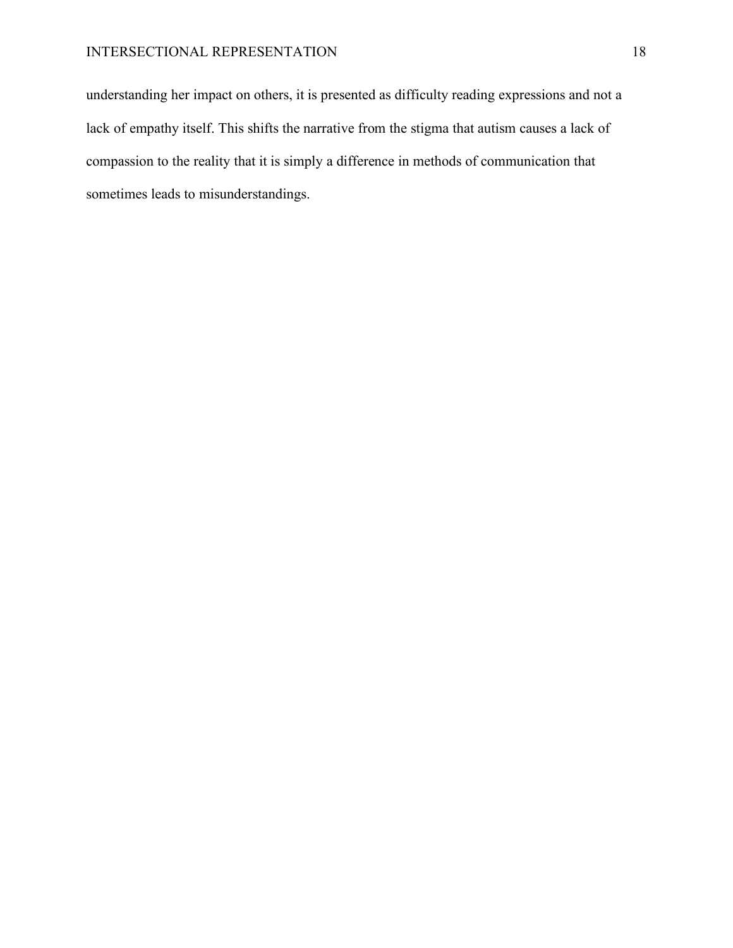understanding her impact on others, it is presented as difficulty reading expressions and not a lack of empathy itself. This shifts the narrative from the stigma that autism causes a lack of compassion to the reality that it is simply a difference in methods of communication that sometimes leads to misunderstandings.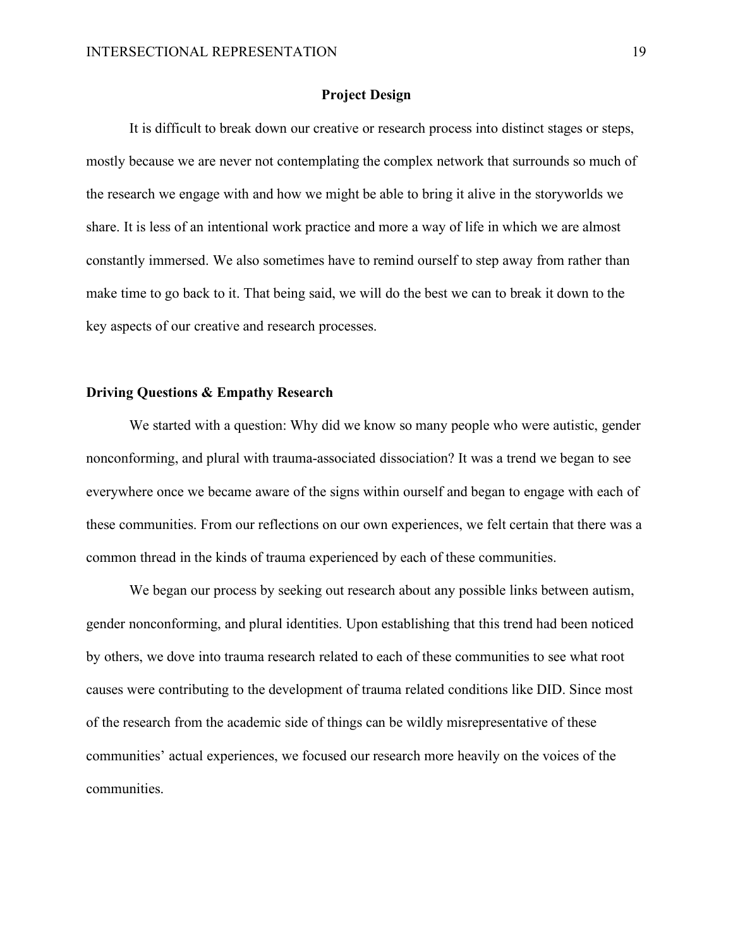#### **Project Design**

<span id="page-18-0"></span>It is difficult to break down our creative or research process into distinct stages or steps, mostly because we are never not contemplating the complex network that surrounds so much of the research we engage with and how we might be able to bring it alive in the storyworlds we share. It is less of an intentional work practice and more a way of life in which we are almost constantly immersed. We also sometimes have to remind ourself to step away from rather than make time to go back to it. That being said, we will do the best we can to break it down to the key aspects of our creative and research processes.

## <span id="page-18-1"></span>**Driving Questions & Empathy Research**

We started with a question: Why did we know so many people who were autistic, gender nonconforming, and plural with trauma-associated dissociation? It was a trend we began to see everywhere once we became aware of the signs within ourself and began to engage with each of these communities. From our reflections on our own experiences, we felt certain that there was a common thread in the kinds of trauma experienced by each of these communities.

We began our process by seeking out research about any possible links between autism, gender nonconforming, and plural identities. Upon establishing that this trend had been noticed by others, we dove into trauma research related to each of these communities to see what root causes were contributing to the development of trauma related conditions like DID. Since most of the research from the academic side of things can be wildly misrepresentative of these communities' actual experiences, we focused our research more heavily on the voices of the communities.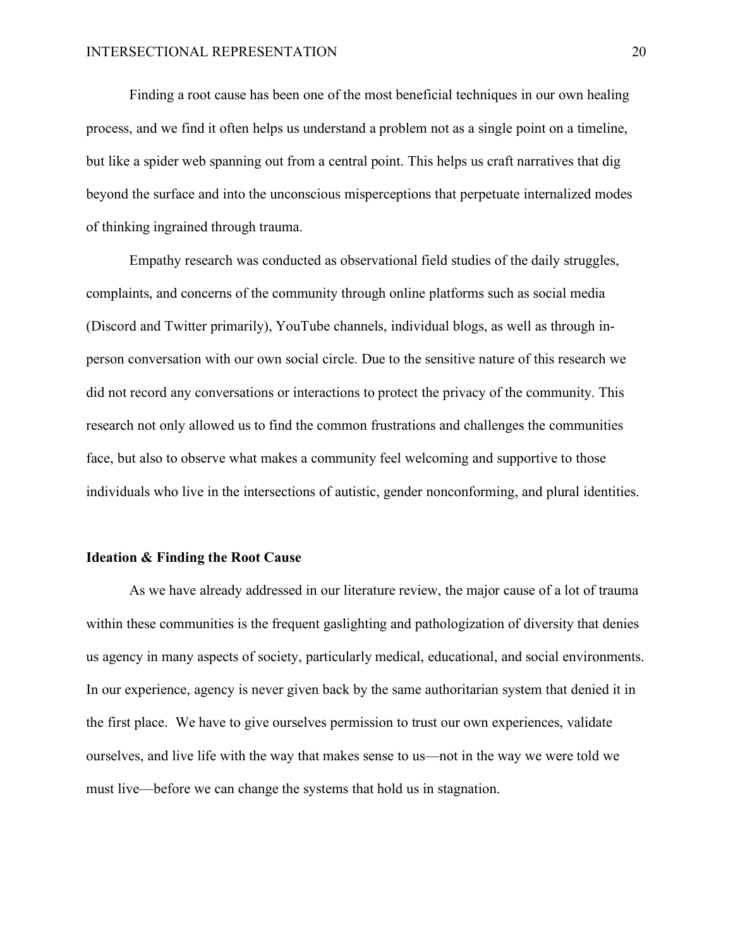Finding a root cause has been one of the most beneficial techniques in our own healing process, and we find it often helps us understand a problem not as a single point on a timeline, but like a spider web spanning out from a central point. This helps us craft narratives that dig beyond the surface and into the unconscious misperceptions that perpetuate internalized modes of thinking ingrained through trauma.

Empathy research was conducted as observational field studies of the daily struggles, complaints, and concerns of the community through online platforms such as social media (Discord and Twitter primarily), YouTube channels, individual blogs, as well as through inperson conversation with our own social circle. Due to the sensitive nature of this research we did not record any conversations or interactions to protect the privacy of the community. This research not only allowed us to find the common frustrations and challenges the communities face, but also to observe what makes a community feel welcoming and supportive to those individuals who live in the intersections of autistic, gender nonconforming, and plural identities.

#### <span id="page-19-0"></span>**Ideation & Finding the Root Cause**

As we have already addressed in our literature review, the major cause of a lot of trauma within these communities is the frequent gaslighting and pathologization of diversity that denies us agency in many aspects of society, particularly medical, educational, and social environments. In our experience, agency is never given back by the same authoritarian system that denied it in the first place. We have to give ourselves permission to trust our own experiences, validate ourselves, and live life with the way that makes sense to us—not in the way we were told we must live—before we can change the systems that hold us in stagnation.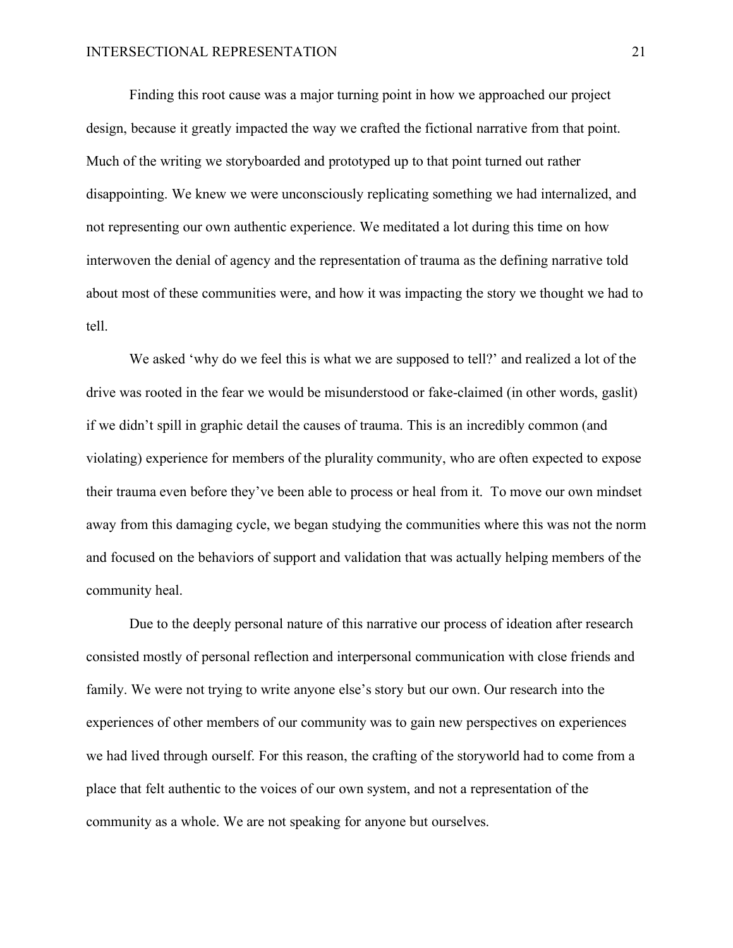Finding this root cause was a major turning point in how we approached our project design, because it greatly impacted the way we crafted the fictional narrative from that point. Much of the writing we storyboarded and prototyped up to that point turned out rather disappointing. We knew we were unconsciously replicating something we had internalized, and not representing our own authentic experience. We meditated a lot during this time on how interwoven the denial of agency and the representation of trauma as the defining narrative told about most of these communities were, and how it was impacting the story we thought we had to tell.

We asked 'why do we feel this is what we are supposed to tell?' and realized a lot of the drive was rooted in the fear we would be misunderstood or fake-claimed (in other words, gaslit) if we didn't spill in graphic detail the causes of trauma. This is an incredibly common (and violating) experience for members of the plurality community, who are often expected to expose their trauma even before they've been able to process or heal from it. To move our own mindset away from this damaging cycle, we began studying the communities where this was not the norm and focused on the behaviors of support and validation that was actually helping members of the community heal.

Due to the deeply personal nature of this narrative our process of ideation after research consisted mostly of personal reflection and interpersonal communication with close friends and family. We were not trying to write anyone else's story but our own. Our research into the experiences of other members of our community was to gain new perspectives on experiences we had lived through ourself. For this reason, the crafting of the storyworld had to come from a place that felt authentic to the voices of our own system, and not a representation of the community as a whole. We are not speaking for anyone but ourselves.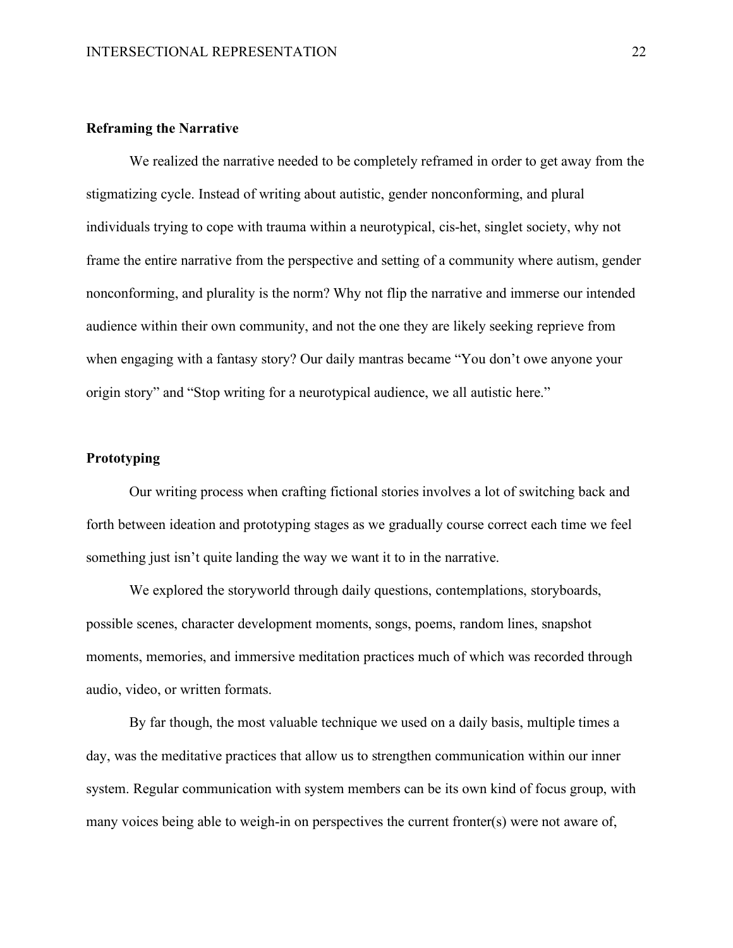## <span id="page-21-0"></span>**Reframing the Narrative**

We realized the narrative needed to be completely reframed in order to get away from the stigmatizing cycle. Instead of writing about autistic, gender nonconforming, and plural individuals trying to cope with trauma within a neurotypical, cis-het, singlet society, why not frame the entire narrative from the perspective and setting of a community where autism, gender nonconforming, and plurality is the norm? Why not flip the narrative and immerse our intended audience within their own community, and not the one they are likely seeking reprieve from when engaging with a fantasy story? Our daily mantras became "You don't owe anyone your origin story" and "Stop writing for a neurotypical audience, we all autistic here."

## <span id="page-21-1"></span>**Prototyping**

Our writing process when crafting fictional stories involves a lot of switching back and forth between ideation and prototyping stages as we gradually course correct each time we feel something just isn't quite landing the way we want it to in the narrative.

We explored the storyworld through daily questions, contemplations, storyboards, possible scenes, character development moments, songs, poems, random lines, snapshot moments, memories, and immersive meditation practices much of which was recorded through audio, video, or written formats.

By far though, the most valuable technique we used on a daily basis, multiple times a day, was the meditative practices that allow us to strengthen communication within our inner system. Regular communication with system members can be its own kind of focus group, with many voices being able to weigh-in on perspectives the current fronter(s) were not aware of,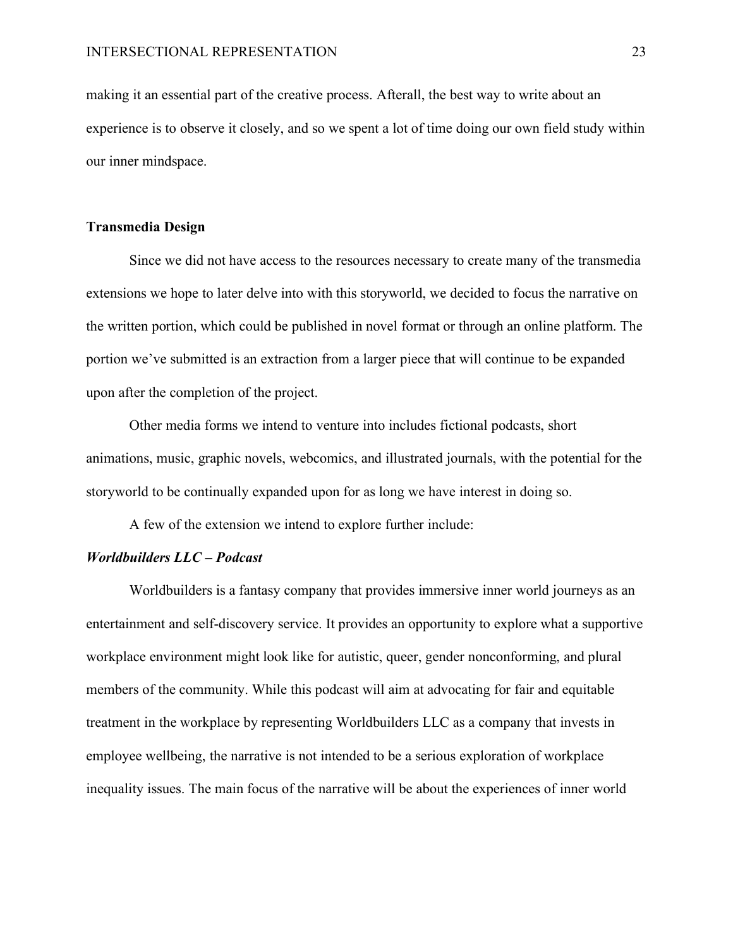making it an essential part of the creative process. Afterall, the best way to write about an experience is to observe it closely, and so we spent a lot of time doing our own field study within our inner mindspace.

#### <span id="page-22-0"></span>**Transmedia Design**

Since we did not have access to the resources necessary to create many of the transmedia extensions we hope to later delve into with this storyworld, we decided to focus the narrative on the written portion, which could be published in novel format or through an online platform. The portion we've submitted is an extraction from a larger piece that will continue to be expanded upon after the completion of the project.

Other media forms we intend to venture into includes fictional podcasts, short animations, music, graphic novels, webcomics, and illustrated journals, with the potential for the storyworld to be continually expanded upon for as long we have interest in doing so.

A few of the extension we intend to explore further include:

#### <span id="page-22-1"></span>*Worldbuilders LLC – Podcast*

Worldbuilders is a fantasy company that provides immersive inner world journeys as an entertainment and self-discovery service. It provides an opportunity to explore what a supportive workplace environment might look like for autistic, queer, gender nonconforming, and plural members of the community. While this podcast will aim at advocating for fair and equitable treatment in the workplace by representing Worldbuilders LLC as a company that invests in employee wellbeing, the narrative is not intended to be a serious exploration of workplace inequality issues. The main focus of the narrative will be about the experiences of inner world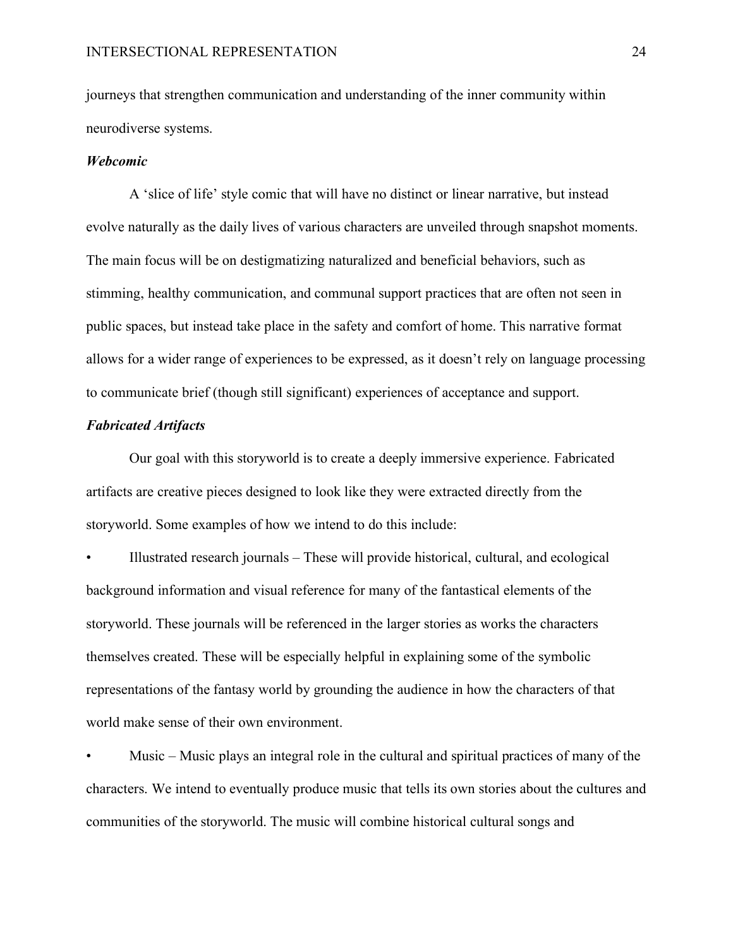journeys that strengthen communication and understanding of the inner community within neurodiverse systems.

#### <span id="page-23-0"></span>*Webcomic*

A 'slice of life' style comic that will have no distinct or linear narrative, but instead evolve naturally as the daily lives of various characters are unveiled through snapshot moments. The main focus will be on destigmatizing naturalized and beneficial behaviors, such as stimming, healthy communication, and communal support practices that are often not seen in public spaces, but instead take place in the safety and comfort of home. This narrative format allows for a wider range of experiences to be expressed, as it doesn't rely on language processing to communicate brief (though still significant) experiences of acceptance and support.

## <span id="page-23-1"></span>*Fabricated Artifacts*

Our goal with this storyworld is to create a deeply immersive experience. Fabricated artifacts are creative pieces designed to look like they were extracted directly from the storyworld. Some examples of how we intend to do this include:

• Illustrated research journals – These will provide historical, cultural, and ecological background information and visual reference for many of the fantastical elements of the storyworld. These journals will be referenced in the larger stories as works the characters themselves created. These will be especially helpful in explaining some of the symbolic representations of the fantasy world by grounding the audience in how the characters of that world make sense of their own environment.

• Music – Music plays an integral role in the cultural and spiritual practices of many of the characters. We intend to eventually produce music that tells its own stories about the cultures and communities of the storyworld. The music will combine historical cultural songs and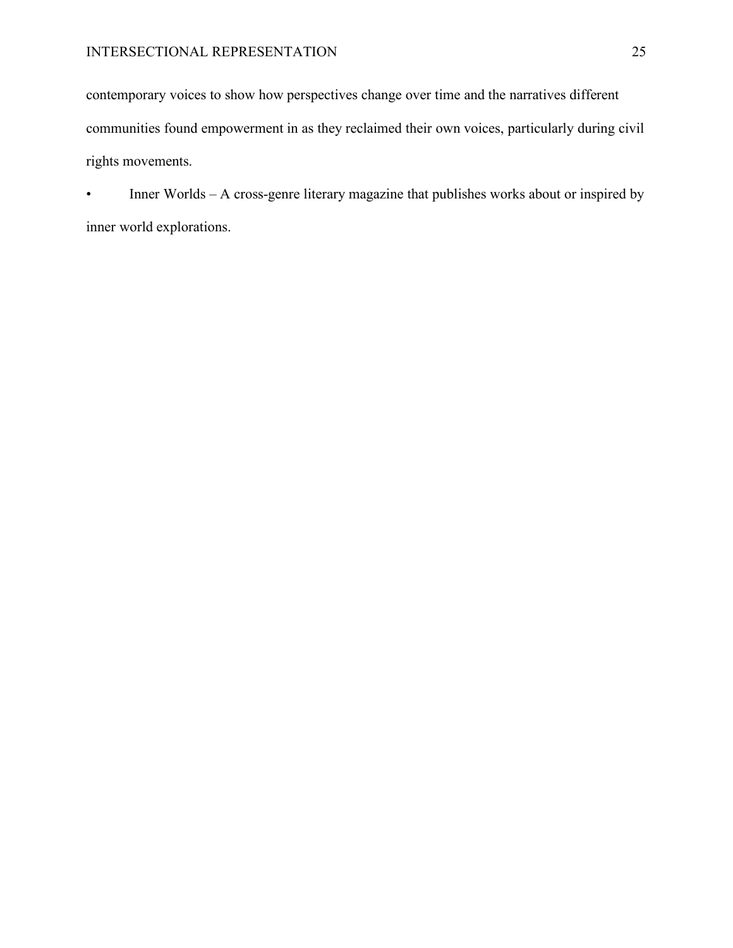contemporary voices to show how perspectives change over time and the narratives different communities found empowerment in as they reclaimed their own voices, particularly during civil rights movements.

• Inner Worlds – A cross-genre literary magazine that publishes works about or inspired by inner world explorations.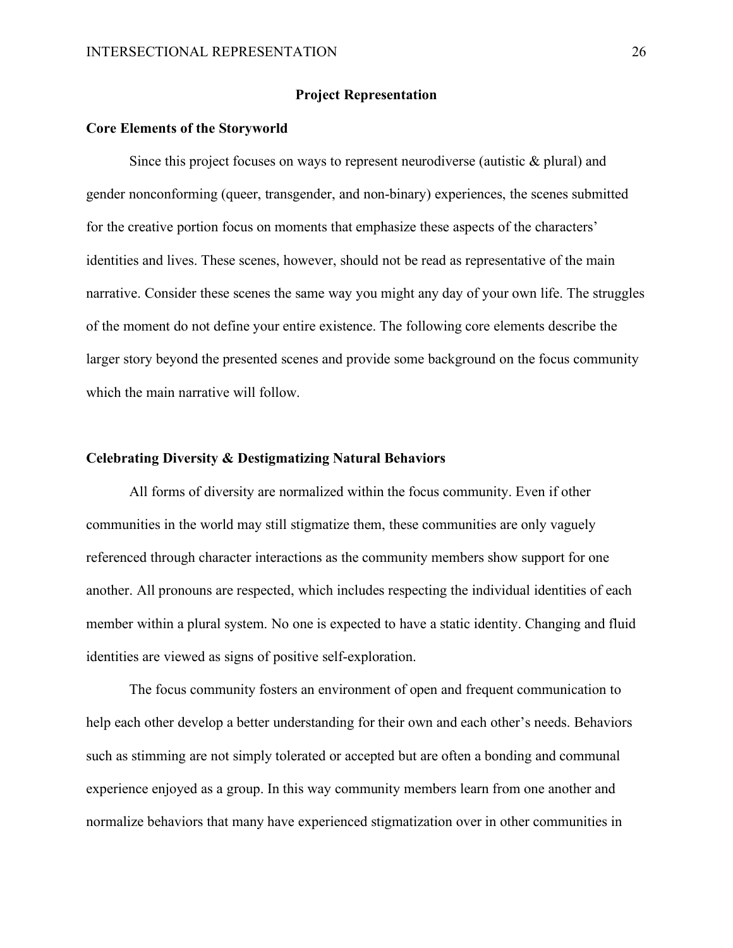#### **Project Representation**

#### <span id="page-25-1"></span><span id="page-25-0"></span>**Core Elements of the Storyworld**

Since this project focuses on ways to represent neurodiverse (autistic  $\&$  plural) and gender nonconforming (queer, transgender, and non-binary) experiences, the scenes submitted for the creative portion focus on moments that emphasize these aspects of the characters' identities and lives. These scenes, however, should not be read as representative of the main narrative. Consider these scenes the same way you might any day of your own life. The struggles of the moment do not define your entire existence. The following core elements describe the larger story beyond the presented scenes and provide some background on the focus community which the main narrative will follow.

#### <span id="page-25-2"></span>**Celebrating Diversity & Destigmatizing Natural Behaviors**

All forms of diversity are normalized within the focus community. Even if other communities in the world may still stigmatize them, these communities are only vaguely referenced through character interactions as the community members show support for one another. All pronouns are respected, which includes respecting the individual identities of each member within a plural system. No one is expected to have a static identity. Changing and fluid identities are viewed as signs of positive self-exploration.

The focus community fosters an environment of open and frequent communication to help each other develop a better understanding for their own and each other's needs. Behaviors such as stimming are not simply tolerated or accepted but are often a bonding and communal experience enjoyed as a group. In this way community members learn from one another and normalize behaviors that many have experienced stigmatization over in other communities in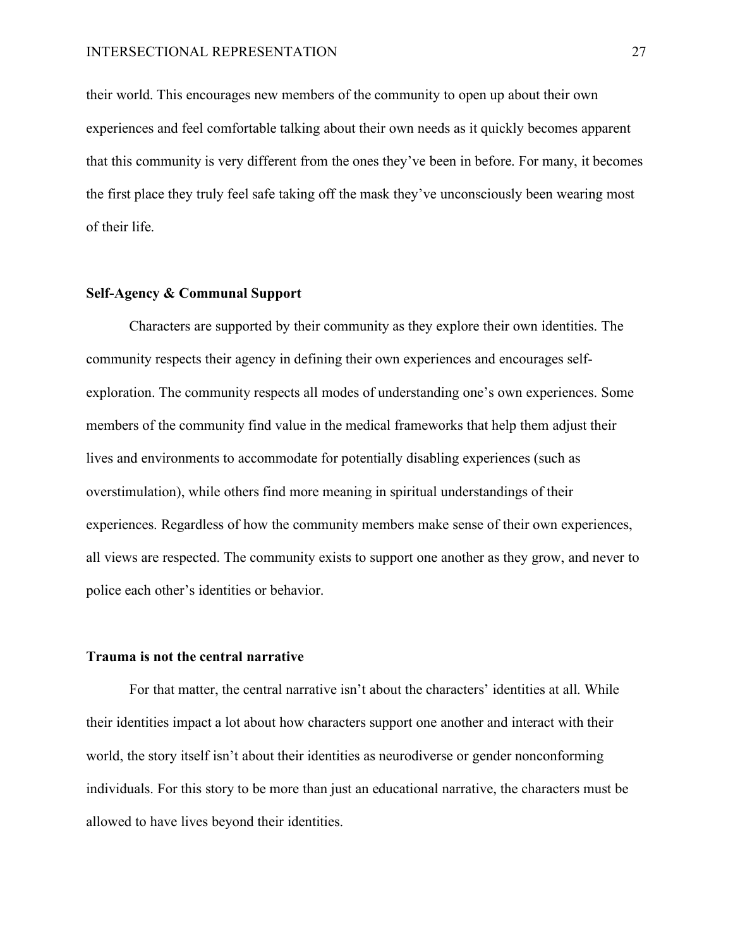their world. This encourages new members of the community to open up about their own experiences and feel comfortable talking about their own needs as it quickly becomes apparent that this community is very different from the ones they've been in before. For many, it becomes the first place they truly feel safe taking off the mask they've unconsciously been wearing most of their life.

#### <span id="page-26-0"></span>**Self-Agency & Communal Support**

Characters are supported by their community as they explore their own identities. The community respects their agency in defining their own experiences and encourages selfexploration. The community respects all modes of understanding one's own experiences. Some members of the community find value in the medical frameworks that help them adjust their lives and environments to accommodate for potentially disabling experiences (such as overstimulation), while others find more meaning in spiritual understandings of their experiences. Regardless of how the community members make sense of their own experiences, all views are respected. The community exists to support one another as they grow, and never to police each other's identities or behavior.

#### <span id="page-26-1"></span>**Trauma is not the central narrative**

For that matter, the central narrative isn't about the characters' identities at all. While their identities impact a lot about how characters support one another and interact with their world, the story itself isn't about their identities as neurodiverse or gender nonconforming individuals. For this story to be more than just an educational narrative, the characters must be allowed to have lives beyond their identities.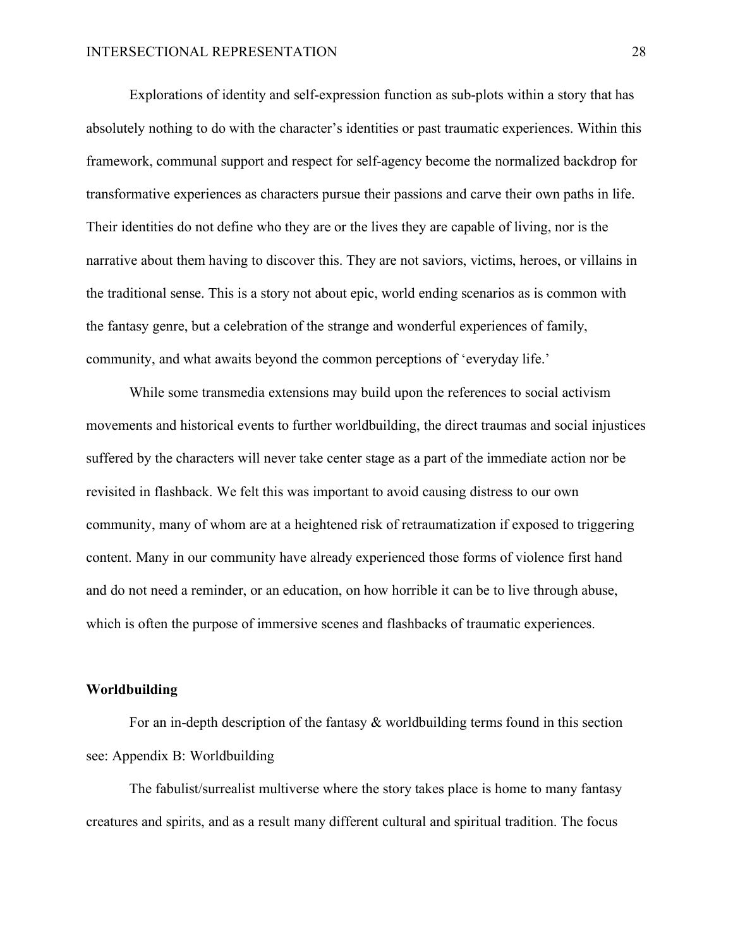Explorations of identity and self-expression function as sub-plots within a story that has absolutely nothing to do with the character's identities or past traumatic experiences. Within this framework, communal support and respect for self-agency become the normalized backdrop for transformative experiences as characters pursue their passions and carve their own paths in life. Their identities do not define who they are or the lives they are capable of living, nor is the narrative about them having to discover this. They are not saviors, victims, heroes, or villains in the traditional sense. This is a story not about epic, world ending scenarios as is common with the fantasy genre, but a celebration of the strange and wonderful experiences of family, community, and what awaits beyond the common perceptions of 'everyday life.'

While some transmedia extensions may build upon the references to social activism movements and historical events to further worldbuilding, the direct traumas and social injustices suffered by the characters will never take center stage as a part of the immediate action nor be revisited in flashback. We felt this was important to avoid causing distress to our own community, many of whom are at a heightened risk of retraumatization if exposed to triggering content. Many in our community have already experienced those forms of violence first hand and do not need a reminder, or an education, on how horrible it can be to live through abuse, which is often the purpose of immersive scenes and flashbacks of traumatic experiences.

#### <span id="page-27-0"></span>**Worldbuilding**

For an in-depth description of the fantasy & worldbuilding terms found in this section see: Appendix B: Worldbuilding

The fabulist/surrealist multiverse where the story takes place is home to many fantasy creatures and spirits, and as a result many different cultural and spiritual tradition. The focus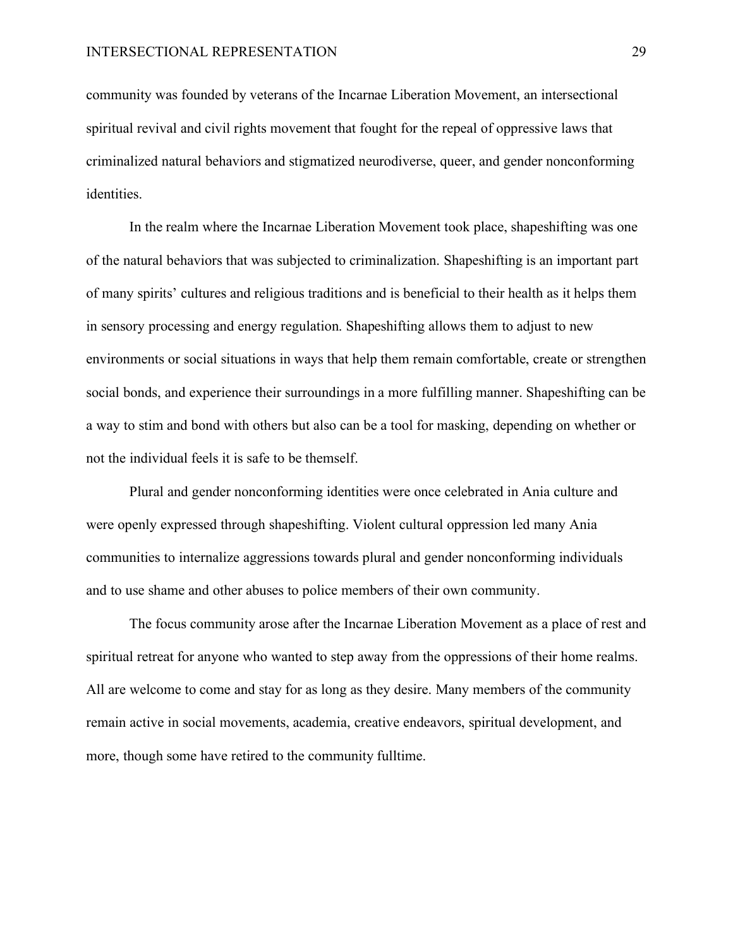community was founded by veterans of the Incarnae Liberation Movement, an intersectional spiritual revival and civil rights movement that fought for the repeal of oppressive laws that criminalized natural behaviors and stigmatized neurodiverse, queer, and gender nonconforming identities.

In the realm where the Incarnae Liberation Movement took place, shapeshifting was one of the natural behaviors that was subjected to criminalization. Shapeshifting is an important part of many spirits' cultures and religious traditions and is beneficial to their health as it helps them in sensory processing and energy regulation. Shapeshifting allows them to adjust to new environments or social situations in ways that help them remain comfortable, create or strengthen social bonds, and experience their surroundings in a more fulfilling manner. Shapeshifting can be a way to stim and bond with others but also can be a tool for masking, depending on whether or not the individual feels it is safe to be themself.

Plural and gender nonconforming identities were once celebrated in Ania culture and were openly expressed through shapeshifting. Violent cultural oppression led many Ania communities to internalize aggressions towards plural and gender nonconforming individuals and to use shame and other abuses to police members of their own community.

The focus community arose after the Incarnae Liberation Movement as a place of rest and spiritual retreat for anyone who wanted to step away from the oppressions of their home realms. All are welcome to come and stay for as long as they desire. Many members of the community remain active in social movements, academia, creative endeavors, spiritual development, and more, though some have retired to the community fulltime.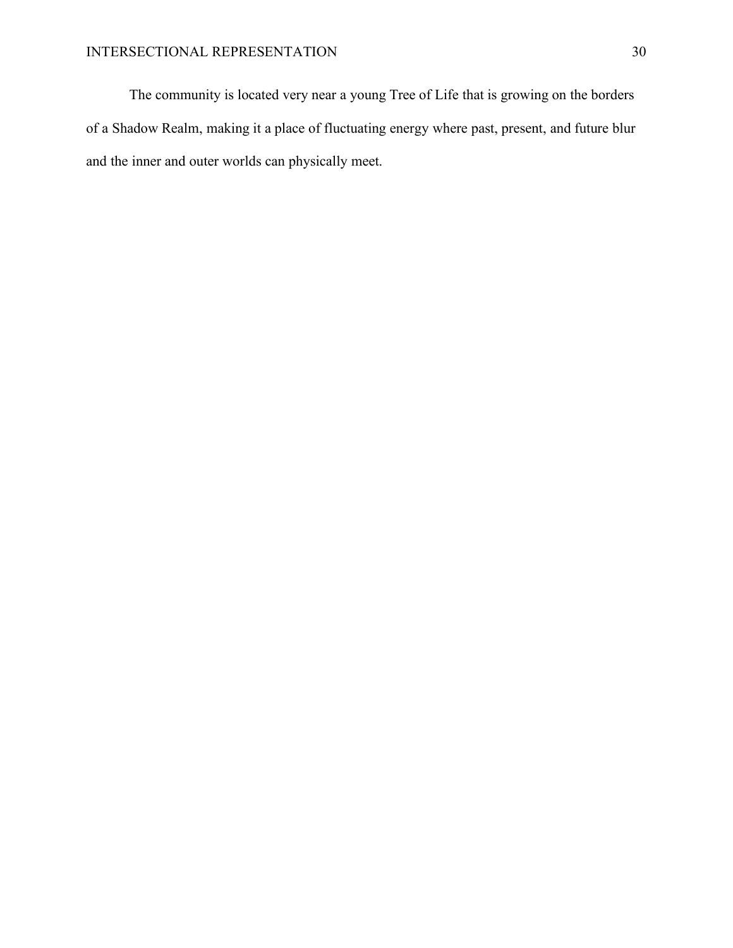The community is located very near a young Tree of Life that is growing on the borders of a Shadow Realm, making it a place of fluctuating energy where past, present, and future blur and the inner and outer worlds can physically meet.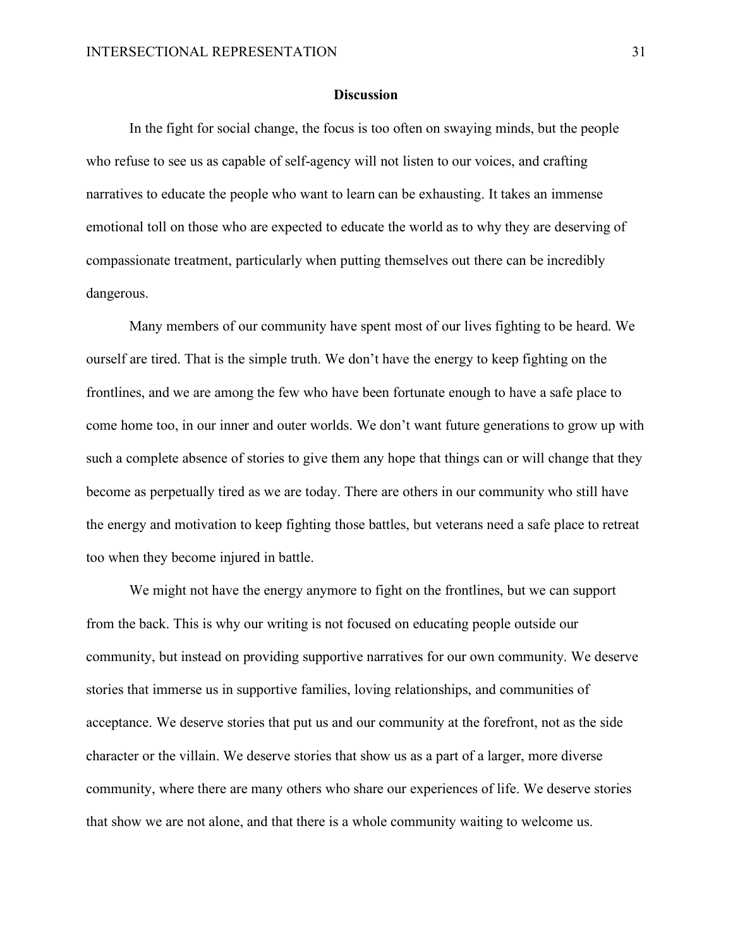#### **Discussion**

<span id="page-30-0"></span>In the fight for social change, the focus is too often on swaying minds, but the people who refuse to see us as capable of self-agency will not listen to our voices, and crafting narratives to educate the people who want to learn can be exhausting. It takes an immense emotional toll on those who are expected to educate the world as to why they are deserving of compassionate treatment, particularly when putting themselves out there can be incredibly dangerous.

Many members of our community have spent most of our lives fighting to be heard. We ourself are tired. That is the simple truth. We don't have the energy to keep fighting on the frontlines, and we are among the few who have been fortunate enough to have a safe place to come home too, in our inner and outer worlds. We don't want future generations to grow up with such a complete absence of stories to give them any hope that things can or will change that they become as perpetually tired as we are today. There are others in our community who still have the energy and motivation to keep fighting those battles, but veterans need a safe place to retreat too when they become injured in battle.

We might not have the energy anymore to fight on the frontlines, but we can support from the back. This is why our writing is not focused on educating people outside our community, but instead on providing supportive narratives for our own community. We deserve stories that immerse us in supportive families, loving relationships, and communities of acceptance. We deserve stories that put us and our community at the forefront, not as the side character or the villain. We deserve stories that show us as a part of a larger, more diverse community, where there are many others who share our experiences of life. We deserve stories that show we are not alone, and that there is a whole community waiting to welcome us.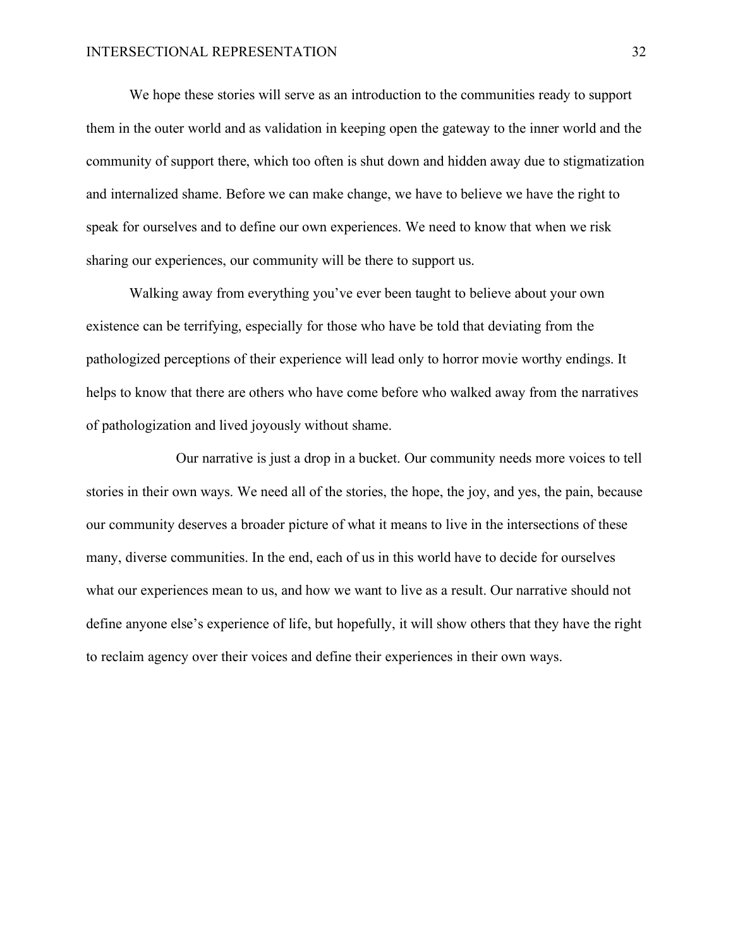We hope these stories will serve as an introduction to the communities ready to support them in the outer world and as validation in keeping open the gateway to the inner world and the community of support there, which too often is shut down and hidden away due to stigmatization and internalized shame. Before we can make change, we have to believe we have the right to speak for ourselves and to define our own experiences. We need to know that when we risk sharing our experiences, our community will be there to support us.

Walking away from everything you've ever been taught to believe about your own existence can be terrifying, especially for those who have be told that deviating from the pathologized perceptions of their experience will lead only to horror movie worthy endings. It helps to know that there are others who have come before who walked away from the narratives of pathologization and lived joyously without shame.

Our narrative is just a drop in a bucket. Our community needs more voices to tell stories in their own ways. We need all of the stories, the hope, the joy, and yes, the pain, because our community deserves a broader picture of what it means to live in the intersections of these many, diverse communities. In the end, each of us in this world have to decide for ourselves what our experiences mean to us, and how we want to live as a result. Our narrative should not define anyone else's experience of life, but hopefully, it will show others that they have the right to reclaim agency over their voices and define their experiences in their own ways.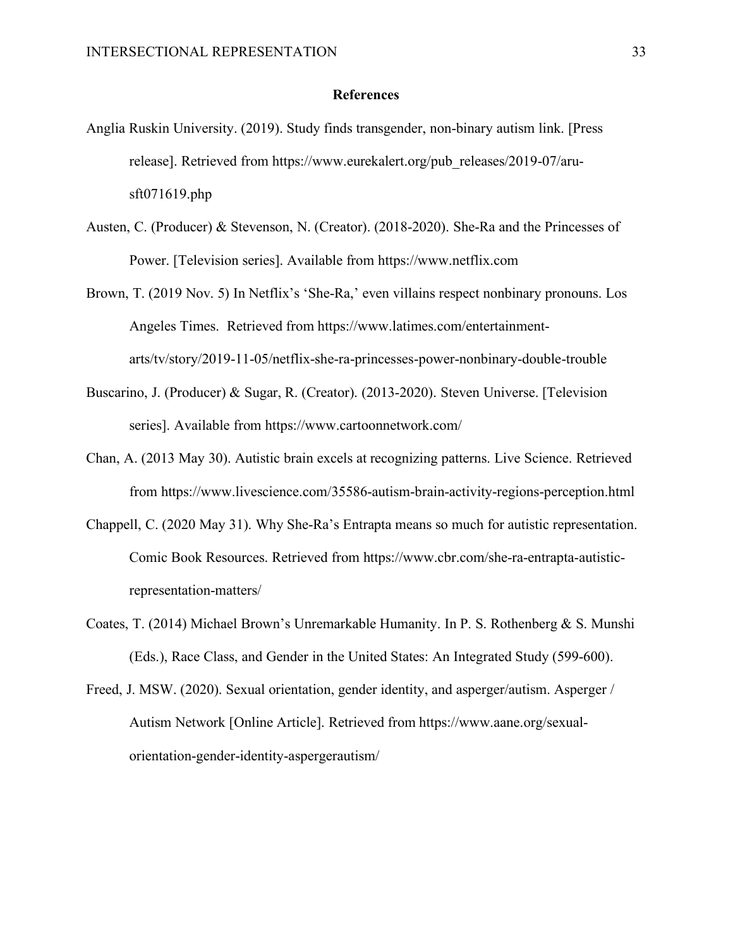#### **References**

- <span id="page-32-0"></span>Anglia Ruskin University. (2019). Study finds transgender, non-binary autism link. [Press release]. Retrieved from https://www.eurekalert.org/pub\_releases/2019-07/arusft071619.php
- Austen, C. (Producer) & Stevenson, N. (Creator). (2018-2020). She-Ra and the Princesses of Power. [Television series]. Available from https://www.netflix.com
- Brown, T. (2019 Nov. 5) In Netflix's 'She-Ra,' even villains respect nonbinary pronouns. Los Angeles Times. Retrieved from https://www.latimes.com/entertainmentarts/tv/story/2019-11-05/netflix-she-ra-princesses-power-nonbinary-double-trouble
- Buscarino, J. (Producer) & Sugar, R. (Creator). (2013-2020). Steven Universe. [Television series]. Available from https://www.cartoonnetwork.com/
- Chan, A. (2013 May 30). Autistic brain excels at recognizing patterns. Live Science. Retrieved from https://www.livescience.com/35586-autism-brain-activity-regions-perception.html
- Chappell, C. (2020 May 31). Why She-Ra's Entrapta means so much for autistic representation. Comic Book Resources. Retrieved from https://www.cbr.com/she-ra-entrapta-autisticrepresentation-matters/
- Coates, T. (2014) Michael Brown's Unremarkable Humanity. In P. S. Rothenberg & S. Munshi (Eds.), Race Class, and Gender in the United States: An Integrated Study (599-600).
- Freed, J. MSW. (2020). Sexual orientation, gender identity, and asperger/autism. Asperger / Autism Network [Online Article]. Retrieved from https://www.aane.org/sexualorientation-gender-identity-aspergerautism/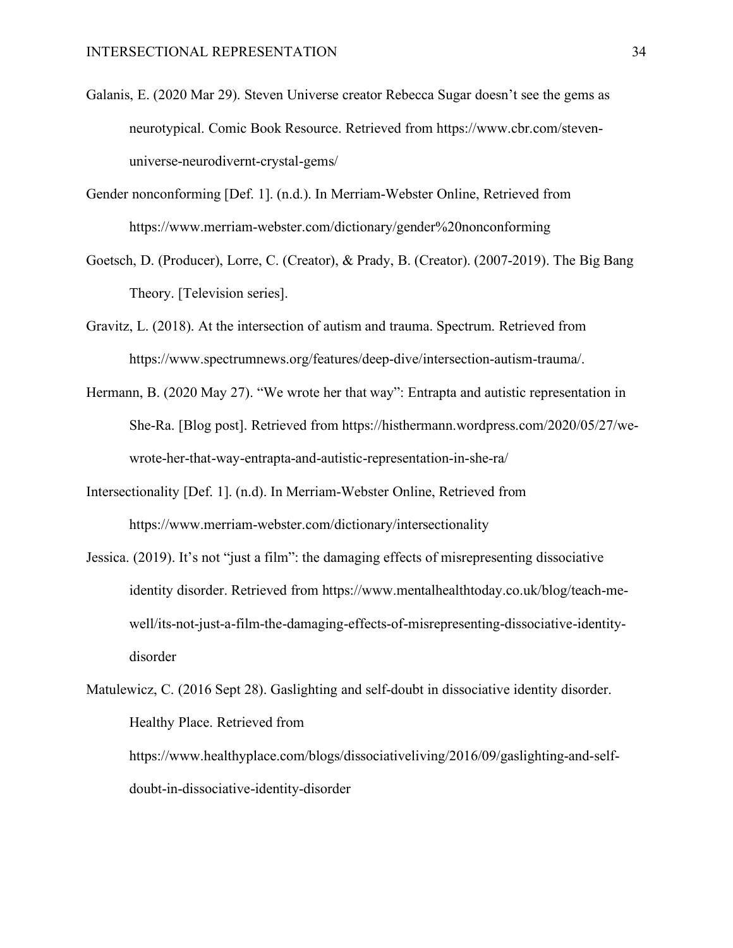- Galanis, E. (2020 Mar 29). Steven Universe creator Rebecca Sugar doesn't see the gems as neurotypical. Comic Book Resource. Retrieved from https://www.cbr.com/stevenuniverse-neurodivernt-crystal-gems/
- Gender nonconforming [Def. 1]. (n.d.). In Merriam-Webster Online, Retrieved from https://www.merriam-webster.com/dictionary/gender%20nonconforming
- Goetsch, D. (Producer), Lorre, C. (Creator), & Prady, B. (Creator). (2007-2019). The Big Bang Theory. [Television series].
- Gravitz, L. (2018). At the intersection of autism and trauma. Spectrum. Retrieved from https://www.spectrumnews.org/features/deep-dive/intersection-autism-trauma/.
- Hermann, B. (2020 May 27). "We wrote her that way": Entrapta and autistic representation in She-Ra. [Blog post]. Retrieved from https://histhermann.wordpress.com/2020/05/27/wewrote-her-that-way-entrapta-and-autistic-representation-in-she-ra/
- Intersectionality [Def. 1]. (n.d). In Merriam-Webster Online, Retrieved from https://www.merriam-webster.com/dictionary/intersectionality
- Jessica. (2019). It's not "just a film": the damaging effects of misrepresenting dissociative identity disorder. Retrieved from https://www.mentalhealthtoday.co.uk/blog/teach-mewell/its-not-just-a-film-the-damaging-effects-of-misrepresenting-dissociative-identitydisorder
- Matulewicz, C. (2016 Sept 28). Gaslighting and self-doubt in dissociative identity disorder. Healthy Place. Retrieved from https://www.healthyplace.com/blogs/dissociativeliving/2016/09/gaslighting-and-selfdoubt-in-dissociative-identity-disorder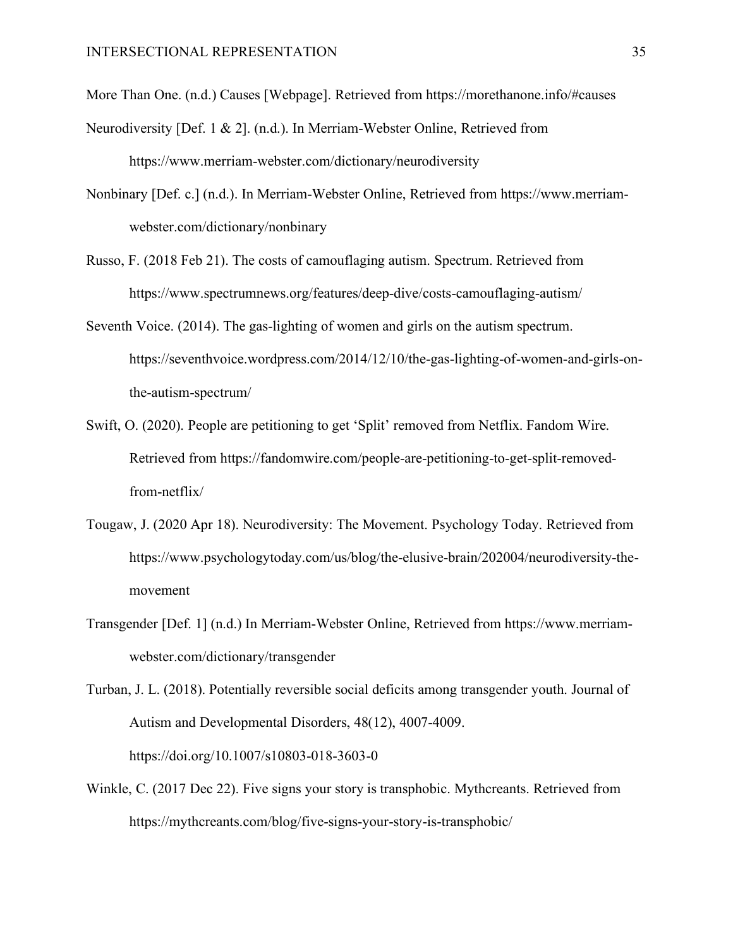More Than One. (n.d.) Causes [Webpage]. Retrieved from https://morethanone.info/#causes

- Neurodiversity [Def. 1 & 2]. (n.d.). In Merriam-Webster Online, Retrieved from https://www.merriam-webster.com/dictionary/neurodiversity
- Nonbinary [Def. c.] (n.d.). In Merriam-Webster Online, Retrieved from https://www.merriamwebster.com/dictionary/nonbinary
- Russo, F. (2018 Feb 21). The costs of camouflaging autism. Spectrum. Retrieved from https://www.spectrumnews.org/features/deep-dive/costs-camouflaging-autism/
- Seventh Voice. (2014). The gas-lighting of women and girls on the autism spectrum. https://seventhvoice.wordpress.com/2014/12/10/the-gas-lighting-of-women-and-girls-onthe-autism-spectrum/
- Swift, O. (2020). People are petitioning to get 'Split' removed from Netflix. Fandom Wire. Retrieved from https://fandomwire.com/people-are-petitioning-to-get-split-removedfrom-netflix/
- Tougaw, J. (2020 Apr 18). Neurodiversity: The Movement. Psychology Today. Retrieved from https://www.psychologytoday.com/us/blog/the-elusive-brain/202004/neurodiversity-themovement
- Transgender [Def. 1] (n.d.) In Merriam-Webster Online, Retrieved from https://www.merriamwebster.com/dictionary/transgender

Turban, J. L. (2018). Potentially reversible social deficits among transgender youth. Journal of Autism and Developmental Disorders, 48(12), 4007-4009. https://doi.org/10.1007/s10803-018-3603-0

Winkle, C. (2017 Dec 22). Five signs your story is transphobic. Mythcreants. Retrieved from https://mythcreants.com/blog/five-signs-your-story-is-transphobic/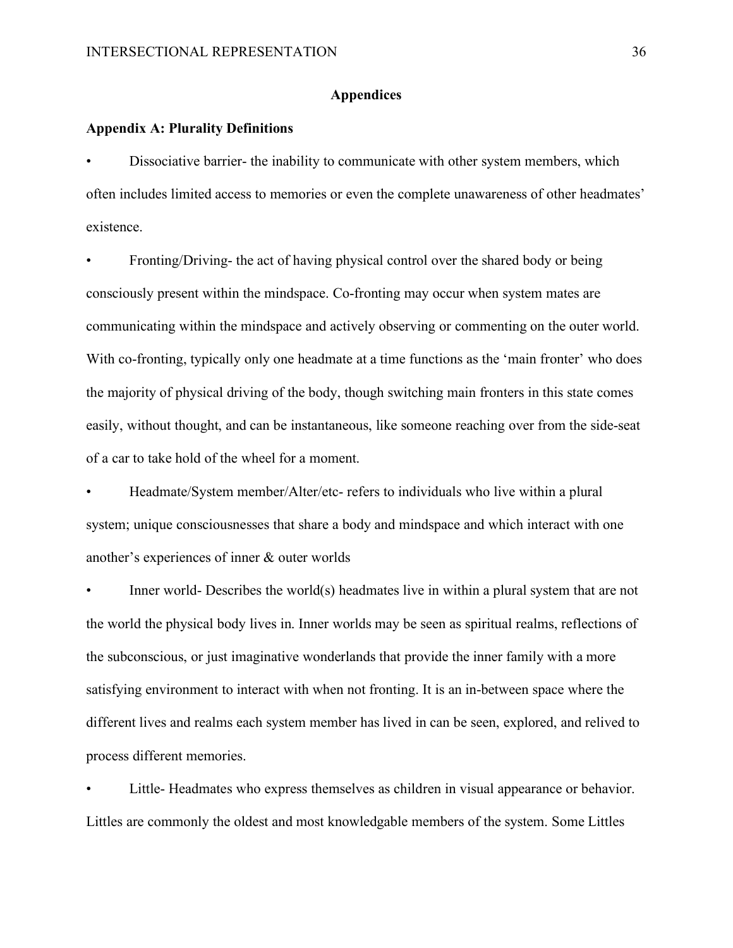## **Appendices**

#### <span id="page-35-1"></span><span id="page-35-0"></span>**Appendix A: Plurality Definitions**

• Dissociative barrier- the inability to communicate with other system members, which often includes limited access to memories or even the complete unawareness of other headmates' existence.

• Fronting/Driving- the act of having physical control over the shared body or being consciously present within the mindspace. Co-fronting may occur when system mates are communicating within the mindspace and actively observing or commenting on the outer world. With co-fronting, typically only one headmate at a time functions as the 'main fronter' who does the majority of physical driving of the body, though switching main fronters in this state comes easily, without thought, and can be instantaneous, like someone reaching over from the side-seat of a car to take hold of the wheel for a moment.

• Headmate/System member/Alter/etc- refers to individuals who live within a plural system; unique consciousnesses that share a body and mindspace and which interact with one another's experiences of inner & outer worlds

• Inner world- Describes the world(s) headmates live in within a plural system that are not the world the physical body lives in. Inner worlds may be seen as spiritual realms, reflections of the subconscious, or just imaginative wonderlands that provide the inner family with a more satisfying environment to interact with when not fronting. It is an in-between space where the different lives and realms each system member has lived in can be seen, explored, and relived to process different memories.

Little-Headmates who express themselves as children in visual appearance or behavior. Littles are commonly the oldest and most knowledgable members of the system. Some Littles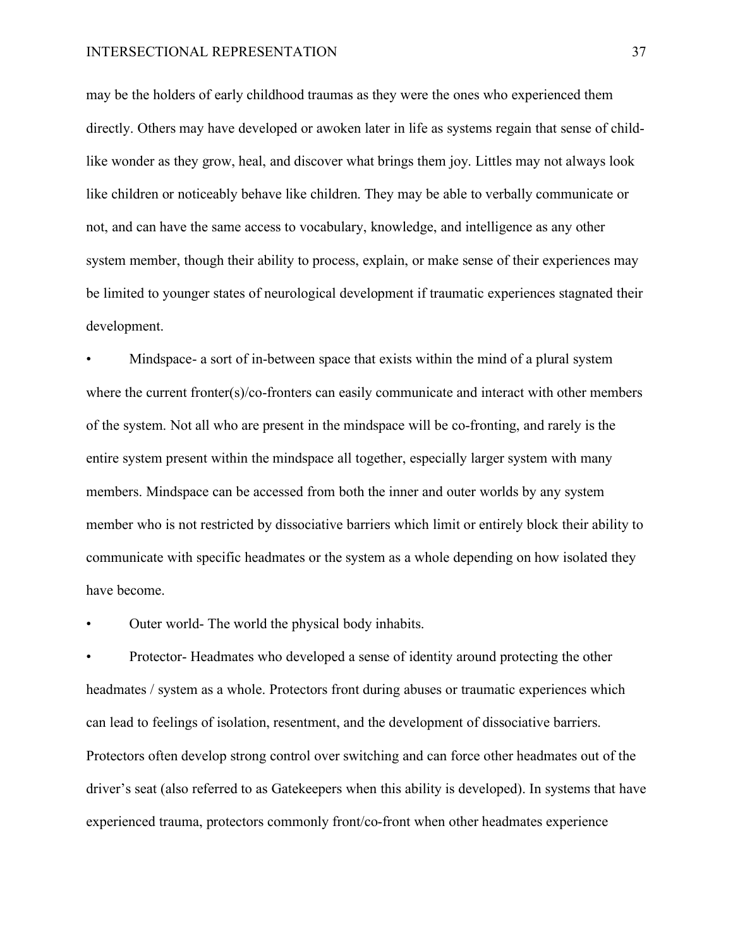may be the holders of early childhood traumas as they were the ones who experienced them directly. Others may have developed or awoken later in life as systems regain that sense of childlike wonder as they grow, heal, and discover what brings them joy. Littles may not always look like children or noticeably behave like children. They may be able to verbally communicate or not, and can have the same access to vocabulary, knowledge, and intelligence as any other system member, though their ability to process, explain, or make sense of their experiences may be limited to younger states of neurological development if traumatic experiences stagnated their development.

Mindspace- a sort of in-between space that exists within the mind of a plural system where the current fronter(s)/co-fronters can easily communicate and interact with other members of the system. Not all who are present in the mindspace will be co-fronting, and rarely is the entire system present within the mindspace all together, especially larger system with many members. Mindspace can be accessed from both the inner and outer worlds by any system member who is not restricted by dissociative barriers which limit or entirely block their ability to communicate with specific headmates or the system as a whole depending on how isolated they have become.

Outer world- The world the physical body inhabits.

• Protector- Headmates who developed a sense of identity around protecting the other headmates / system as a whole. Protectors front during abuses or traumatic experiences which can lead to feelings of isolation, resentment, and the development of dissociative barriers. Protectors often develop strong control over switching and can force other headmates out of the driver's seat (also referred to as Gatekeepers when this ability is developed). In systems that have experienced trauma, protectors commonly front/co-front when other headmates experience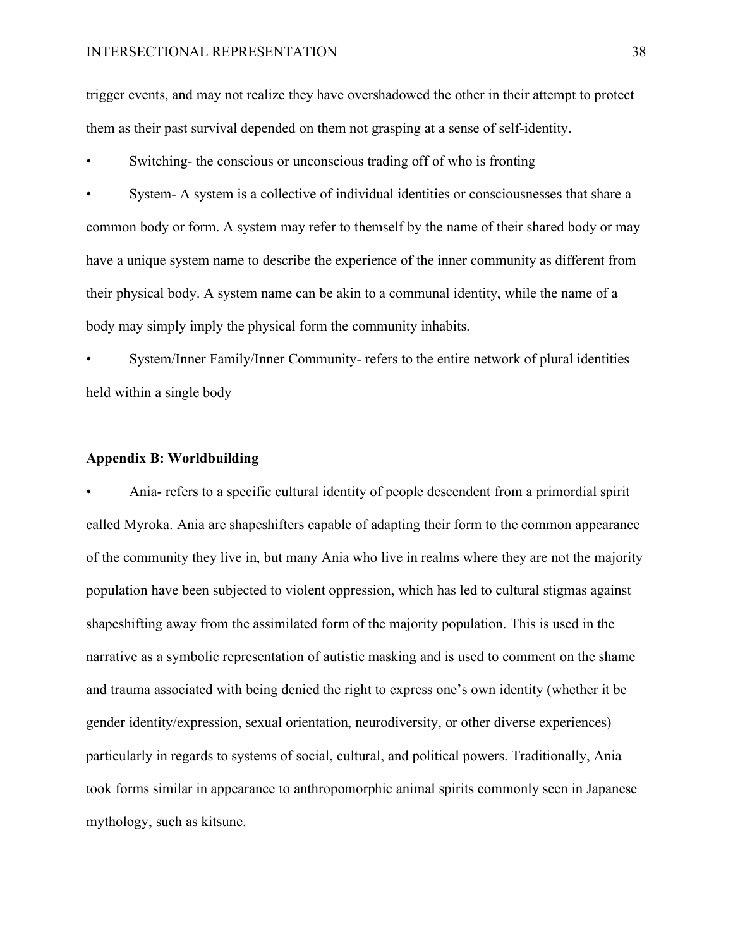trigger events, and may not realize they have overshadowed the other in their attempt to protect them as their past survival depended on them not grasping at a sense of self-identity.

Switching- the conscious or unconscious trading off of who is fronting

• System- A system is a collective of individual identities or consciousnesses that share a common body or form. A system may refer to themself by the name of their shared body or may have a unique system name to describe the experience of the inner community as different from their physical body. A system name can be akin to a communal identity, while the name of a body may simply imply the physical form the community inhabits.

• System/Inner Family/Inner Community- refers to the entire network of plural identities held within a single body

#### <span id="page-37-0"></span>**Appendix B: Worldbuilding**

• Ania- refers to a specific cultural identity of people descendent from a primordial spirit called Myroka. Ania are shapeshifters capable of adapting their form to the common appearance of the community they live in, but many Ania who live in realms where they are not the majority population have been subjected to violent oppression, which has led to cultural stigmas against shapeshifting away from the assimilated form of the majority population. This is used in the narrative as a symbolic representation of autistic masking and is used to comment on the shame and trauma associated with being denied the right to express one's own identity (whether it be gender identity/expression, sexual orientation, neurodiversity, or other diverse experiences) particularly in regards to systems of social, cultural, and political powers. Traditionally, Ania took forms similar in appearance to anthropomorphic animal spirits commonly seen in Japanese mythology, such as kitsune.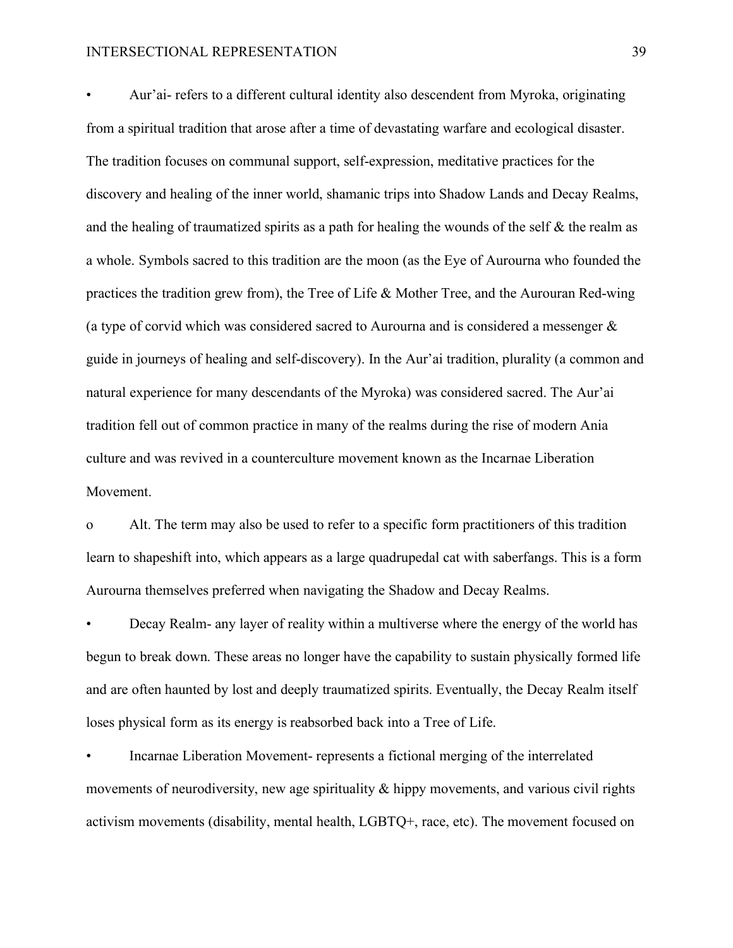• Aur'ai- refers to a different cultural identity also descendent from Myroka, originating from a spiritual tradition that arose after a time of devastating warfare and ecological disaster. The tradition focuses on communal support, self-expression, meditative practices for the discovery and healing of the inner world, shamanic trips into Shadow Lands and Decay Realms, and the healing of traumatized spirits as a path for healing the wounds of the self  $\&$  the realm as a whole. Symbols sacred to this tradition are the moon (as the Eye of Aurourna who founded the practices the tradition grew from), the Tree of Life & Mother Tree, and the Aurouran Red-wing (a type of corvid which was considered sacred to Aurourna and is considered a messenger & guide in journeys of healing and self-discovery). In the Aur'ai tradition, plurality (a common and natural experience for many descendants of the Myroka) was considered sacred. The Aur'ai tradition fell out of common practice in many of the realms during the rise of modern Ania culture and was revived in a counterculture movement known as the Incarnae Liberation Movement.

o Alt. The term may also be used to refer to a specific form practitioners of this tradition learn to shapeshift into, which appears as a large quadrupedal cat with saberfangs. This is a form Aurourna themselves preferred when navigating the Shadow and Decay Realms.

• Decay Realm- any layer of reality within a multiverse where the energy of the world has begun to break down. These areas no longer have the capability to sustain physically formed life and are often haunted by lost and deeply traumatized spirits. Eventually, the Decay Realm itself loses physical form as its energy is reabsorbed back into a Tree of Life.

• Incarnae Liberation Movement- represents a fictional merging of the interrelated movements of neurodiversity, new age spirituality & hippy movements, and various civil rights activism movements (disability, mental health, LGBTQ+, race, etc). The movement focused on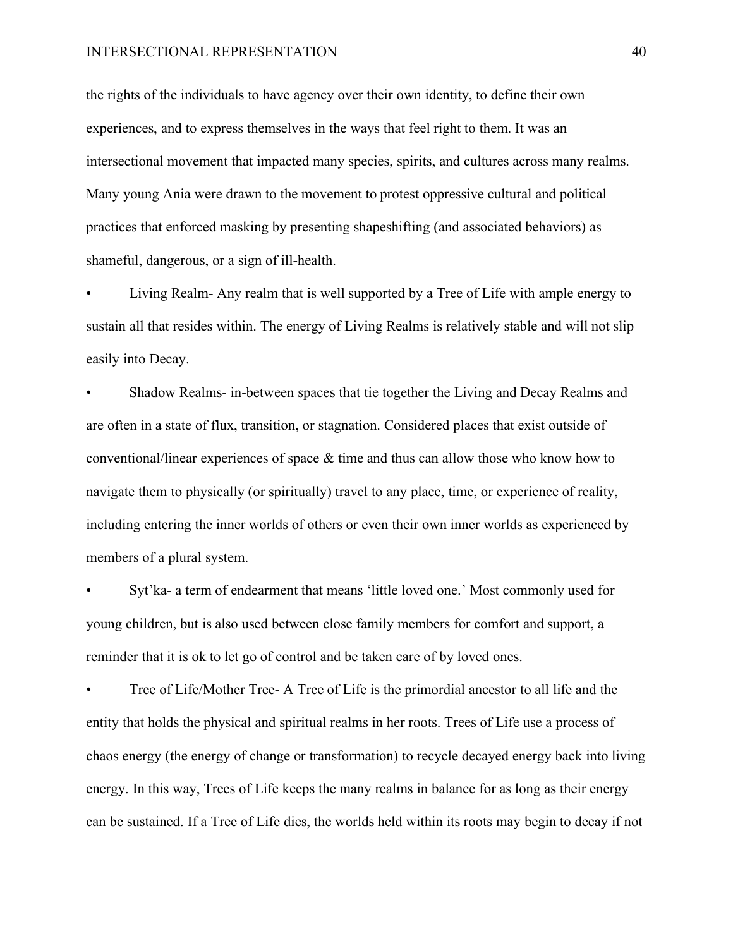the rights of the individuals to have agency over their own identity, to define their own experiences, and to express themselves in the ways that feel right to them. It was an intersectional movement that impacted many species, spirits, and cultures across many realms. Many young Ania were drawn to the movement to protest oppressive cultural and political practices that enforced masking by presenting shapeshifting (and associated behaviors) as shameful, dangerous, or a sign of ill-health.

• Living Realm- Any realm that is well supported by a Tree of Life with ample energy to sustain all that resides within. The energy of Living Realms is relatively stable and will not slip easily into Decay.

• Shadow Realms- in-between spaces that tie together the Living and Decay Realms and are often in a state of flux, transition, or stagnation. Considered places that exist outside of conventional/linear experiences of space  $\&$  time and thus can allow those who know how to navigate them to physically (or spiritually) travel to any place, time, or experience of reality, including entering the inner worlds of others or even their own inner worlds as experienced by members of a plural system.

• Syt'ka- a term of endearment that means 'little loved one.' Most commonly used for young children, but is also used between close family members for comfort and support, a reminder that it is ok to let go of control and be taken care of by loved ones.

• Tree of Life/Mother Tree- A Tree of Life is the primordial ancestor to all life and the entity that holds the physical and spiritual realms in her roots. Trees of Life use a process of chaos energy (the energy of change or transformation) to recycle decayed energy back into living energy. In this way, Trees of Life keeps the many realms in balance for as long as their energy can be sustained. If a Tree of Life dies, the worlds held within its roots may begin to decay if not